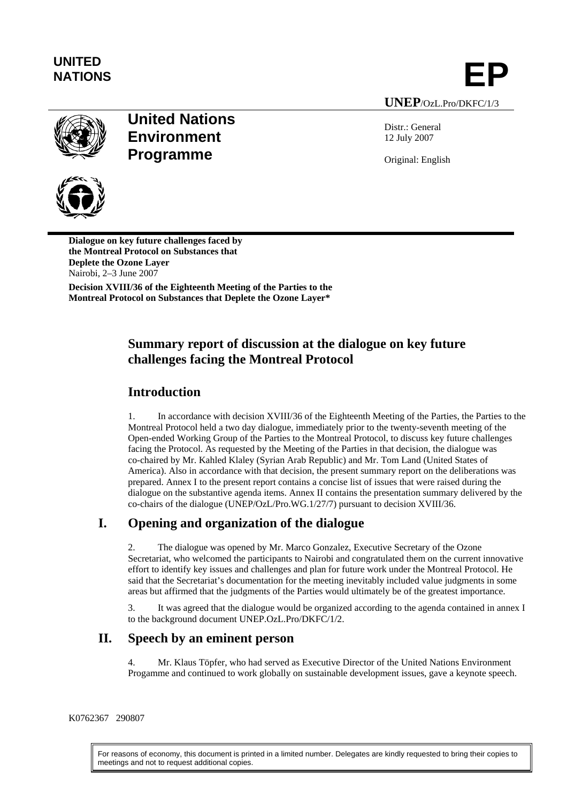

UNITED<br>NATIONS **EP** 

# **United Nations Environment Programme**

**UNEP**/OzL.Pro/DKFC/1/3

Distr.: General 12 July 2007

Original: English



**Dialogue on key future challenges faced by the Montreal Protocol on Substances that Deplete the Ozone Layer**  Nairobi, 2–3 June 2007

**Decision XVIII/36 of the Eighteenth Meeting of the Parties to the Montreal Protocol on Substances that Deplete the Ozone Layer\*** 

# **Summary report of discussion at the dialogue on key future challenges facing the Montreal Protocol**

# **Introduction**

1. In accordance with decision XVIII/36 of the Eighteenth Meeting of the Parties, the Parties to the Montreal Protocol held a two day dialogue, immediately prior to the twenty-seventh meeting of the Open-ended Working Group of the Parties to the Montreal Protocol, to discuss key future challenges facing the Protocol. As requested by the Meeting of the Parties in that decision, the dialogue was co-chaired by Mr. Kahled Klaley (Syrian Arab Republic) and Mr. Tom Land (United States of America). Also in accordance with that decision, the present summary report on the deliberations was prepared. Annex I to the present report contains a concise list of issues that were raised during the dialogue on the substantive agenda items. Annex II contains the presentation summary delivered by the co-chairs of the dialogue (UNEP/OzL/Pro.WG.1/27/7) pursuant to decision XVIII/36.

# **I. Opening and organization of the dialogue**

2. The dialogue was opened by Mr. Marco Gonzalez, Executive Secretary of the Ozone Secretariat, who welcomed the participants to Nairobi and congratulated them on the current innovative effort to identify key issues and challenges and plan for future work under the Montreal Protocol. He said that the Secretariat's documentation for the meeting inevitably included value judgments in some areas but affirmed that the judgments of the Parties would ultimately be of the greatest importance.

3. It was agreed that the dialogue would be organized according to the agenda contained in annex I to the background document UNEP.OzL.Pro/DKFC/1/2.

## **II. Speech by an eminent person**

4. Mr. Klaus Töpfer, who had served as Executive Director of the United Nations Environment Progamme and continued to work globally on sustainable development issues, gave a keynote speech.

#### K0762367 290807

For reasons of economy, this document is printed in a limited number. Delegates are kindly requested to bring their copies to meetings and not to request additional copies.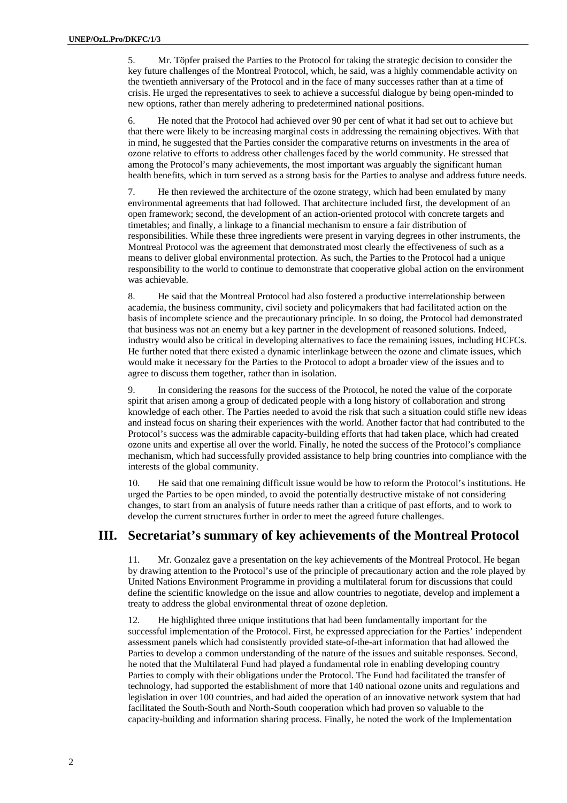5. Mr. Töpfer praised the Parties to the Protocol for taking the strategic decision to consider the key future challenges of the Montreal Protocol, which, he said, was a highly commendable activity on the twentieth anniversary of the Protocol and in the face of many successes rather than at a time of crisis. He urged the representatives to seek to achieve a successful dialogue by being open-minded to new options, rather than merely adhering to predetermined national positions.

6. He noted that the Protocol had achieved over 90 per cent of what it had set out to achieve but that there were likely to be increasing marginal costs in addressing the remaining objectives. With that in mind, he suggested that the Parties consider the comparative returns on investments in the area of ozone relative to efforts to address other challenges faced by the world community. He stressed that among the Protocol's many achievements, the most important was arguably the significant human health benefits, which in turn served as a strong basis for the Parties to analyse and address future needs.

7. He then reviewed the architecture of the ozone strategy, which had been emulated by many environmental agreements that had followed. That architecture included first, the development of an open framework; second, the development of an action-oriented protocol with concrete targets and timetables; and finally, a linkage to a financial mechanism to ensure a fair distribution of responsibilities. While these three ingredients were present in varying degrees in other instruments, the Montreal Protocol was the agreement that demonstrated most clearly the effectiveness of such as a means to deliver global environmental protection. As such, the Parties to the Protocol had a unique responsibility to the world to continue to demonstrate that cooperative global action on the environment was achievable.

8. He said that the Montreal Protocol had also fostered a productive interrelationship between academia, the business community, civil society and policymakers that had facilitated action on the basis of incomplete science and the precautionary principle. In so doing, the Protocol had demonstrated that business was not an enemy but a key partner in the development of reasoned solutions. Indeed, industry would also be critical in developing alternatives to face the remaining issues, including HCFCs. He further noted that there existed a dynamic interlinkage between the ozone and climate issues, which would make it necessary for the Parties to the Protocol to adopt a broader view of the issues and to agree to discuss them together, rather than in isolation.

9. In considering the reasons for the success of the Protocol, he noted the value of the corporate spirit that arisen among a group of dedicated people with a long history of collaboration and strong knowledge of each other. The Parties needed to avoid the risk that such a situation could stifle new ideas and instead focus on sharing their experiences with the world. Another factor that had contributed to the Protocol's success was the admirable capacity-building efforts that had taken place, which had created ozone units and expertise all over the world. Finally, he noted the success of the Protocol's compliance mechanism, which had successfully provided assistance to help bring countries into compliance with the interests of the global community.

10. He said that one remaining difficult issue would be how to reform the Protocol's institutions. He urged the Parties to be open minded, to avoid the potentially destructive mistake of not considering changes, to start from an analysis of future needs rather than a critique of past efforts, and to work to develop the current structures further in order to meet the agreed future challenges.

#### **III. Secretariat's summary of key achievements of the Montreal Protocol**

11. Mr. Gonzalez gave a presentation on the key achievements of the Montreal Protocol. He began by drawing attention to the Protocol's use of the principle of precautionary action and the role played by United Nations Environment Programme in providing a multilateral forum for discussions that could define the scientific knowledge on the issue and allow countries to negotiate, develop and implement a treaty to address the global environmental threat of ozone depletion.

12. He highlighted three unique institutions that had been fundamentally important for the successful implementation of the Protocol. First, he expressed appreciation for the Parties' independent assessment panels which had consistently provided state-of-the-art information that had allowed the Parties to develop a common understanding of the nature of the issues and suitable responses. Second, he noted that the Multilateral Fund had played a fundamental role in enabling developing country Parties to comply with their obligations under the Protocol. The Fund had facilitated the transfer of technology, had supported the establishment of more that 140 national ozone units and regulations and legislation in over 100 countries, and had aided the operation of an innovative network system that had facilitated the South-South and North-South cooperation which had proven so valuable to the capacity-building and information sharing process. Finally, he noted the work of the Implementation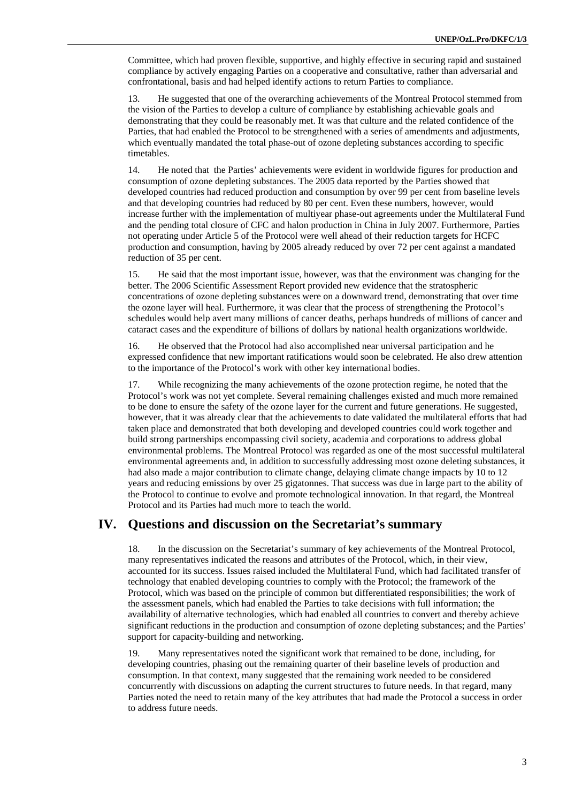Committee, which had proven flexible, supportive, and highly effective in securing rapid and sustained compliance by actively engaging Parties on a cooperative and consultative, rather than adversarial and confrontational, basis and had helped identify actions to return Parties to compliance.

13. He suggested that one of the overarching achievements of the Montreal Protocol stemmed from the vision of the Parties to develop a culture of compliance by establishing achievable goals and demonstrating that they could be reasonably met. It was that culture and the related confidence of the Parties, that had enabled the Protocol to be strengthened with a series of amendments and adjustments, which eventually mandated the total phase-out of ozone depleting substances according to specific timetables.

14. He noted that the Parties' achievements were evident in worldwide figures for production and consumption of ozone depleting substances. The 2005 data reported by the Parties showed that developed countries had reduced production and consumption by over 99 per cent from baseline levels and that developing countries had reduced by 80 per cent. Even these numbers, however, would increase further with the implementation of multiyear phase-out agreements under the Multilateral Fund and the pending total closure of CFC and halon production in China in July 2007. Furthermore, Parties not operating under Article 5 of the Protocol were well ahead of their reduction targets for HCFC production and consumption, having by 2005 already reduced by over 72 per cent against a mandated reduction of 35 per cent.

15. He said that the most important issue, however, was that the environment was changing for the better. The 2006 Scientific Assessment Report provided new evidence that the stratospheric concentrations of ozone depleting substances were on a downward trend, demonstrating that over time the ozone layer will heal. Furthermore, it was clear that the process of strengthening the Protocol's schedules would help avert many millions of cancer deaths, perhaps hundreds of millions of cancer and cataract cases and the expenditure of billions of dollars by national health organizations worldwide.

16. He observed that the Protocol had also accomplished near universal participation and he expressed confidence that new important ratifications would soon be celebrated. He also drew attention to the importance of the Protocol's work with other key international bodies.

17. While recognizing the many achievements of the ozone protection regime, he noted that the Protocol's work was not yet complete. Several remaining challenges existed and much more remained to be done to ensure the safety of the ozone layer for the current and future generations. He suggested, however, that it was already clear that the achievements to date validated the multilateral efforts that had taken place and demonstrated that both developing and developed countries could work together and build strong partnerships encompassing civil society, academia and corporations to address global environmental problems. The Montreal Protocol was regarded as one of the most successful multilateral environmental agreements and, in addition to successfully addressing most ozone deleting substances, it had also made a major contribution to climate change, delaying climate change impacts by 10 to 12 years and reducing emissions by over 25 gigatonnes. That success was due in large part to the ability of the Protocol to continue to evolve and promote technological innovation. In that regard, the Montreal Protocol and its Parties had much more to teach the world.

### **IV. Questions and discussion on the Secretariat's summary**

18. In the discussion on the Secretariat's summary of key achievements of the Montreal Protocol, many representatives indicated the reasons and attributes of the Protocol, which, in their view, accounted for its success. Issues raised included the Multilateral Fund, which had facilitated transfer of technology that enabled developing countries to comply with the Protocol; the framework of the Protocol, which was based on the principle of common but differentiated responsibilities; the work of the assessment panels, which had enabled the Parties to take decisions with full information; the availability of alternative technologies, which had enabled all countries to convert and thereby achieve significant reductions in the production and consumption of ozone depleting substances; and the Parties' support for capacity-building and networking.

19. Many representatives noted the significant work that remained to be done, including, for developing countries, phasing out the remaining quarter of their baseline levels of production and consumption. In that context, many suggested that the remaining work needed to be considered concurrently with discussions on adapting the current structures to future needs. In that regard, many Parties noted the need to retain many of the key attributes that had made the Protocol a success in order to address future needs.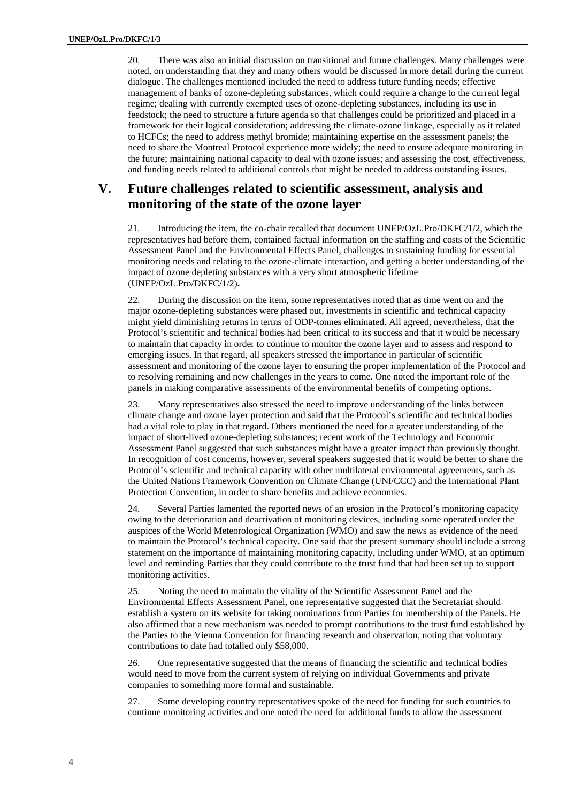20. There was also an initial discussion on transitional and future challenges. Many challenges were noted, on understanding that they and many others would be discussed in more detail during the current dialogue. The challenges mentioned included the need to address future funding needs; effective management of banks of ozone-depleting substances, which could require a change to the current legal regime; dealing with currently exempted uses of ozone-depleting substances, including its use in feedstock; the need to structure a future agenda so that challenges could be prioritized and placed in a framework for their logical consideration; addressing the climate-ozone linkage, especially as it related to HCFCs; the need to address methyl bromide; maintaining expertise on the assessment panels; the need to share the Montreal Protocol experience more widely; the need to ensure adequate monitoring in the future; maintaining national capacity to deal with ozone issues; and assessing the cost, effectiveness, and funding needs related to additional controls that might be needed to address outstanding issues.

## **V. Future challenges related to scientific assessment, analysis and monitoring of the state of the ozone layer**

21. Introducing the item, the co-chair recalled that document UNEP/OzL.Pro/DKFC/1/2, which the representatives had before them, contained factual information on the staffing and costs of the Scientific Assessment Panel and the Environmental Effects Panel, challenges to sustaining funding for essential monitoring needs and relating to the ozone-climate interaction, and getting a better understanding of the impact of ozone depleting substances with a very short atmospheric lifetime (UNEP/OzL.Pro/DKFC/1/2)**.** 

22. During the discussion on the item, some representatives noted that as time went on and the major ozone-depleting substances were phased out, investments in scientific and technical capacity might yield diminishing returns in terms of ODP-tonnes eliminated. All agreed, nevertheless, that the Protocol's scientific and technical bodies had been critical to its success and that it would be necessary to maintain that capacity in order to continue to monitor the ozone layer and to assess and respond to emerging issues. In that regard, all speakers stressed the importance in particular of scientific assessment and monitoring of the ozone layer to ensuring the proper implementation of the Protocol and to resolving remaining and new challenges in the years to come. One noted the important role of the panels in making comparative assessments of the environmental benefits of competing options.

23. Many representatives also stressed the need to improve understanding of the links between climate change and ozone layer protection and said that the Protocol's scientific and technical bodies had a vital role to play in that regard. Others mentioned the need for a greater understanding of the impact of short-lived ozone-depleting substances; recent work of the Technology and Economic Assessment Panel suggested that such substances might have a greater impact than previously thought. In recognition of cost concerns, however, several speakers suggested that it would be better to share the Protocol's scientific and technical capacity with other multilateral environmental agreements, such as the United Nations Framework Convention on Climate Change (UNFCCC) and the International Plant Protection Convention, in order to share benefits and achieve economies.

24. Several Parties lamented the reported news of an erosion in the Protocol's monitoring capacity owing to the deterioration and deactivation of monitoring devices, including some operated under the auspices of the World Meteorological Organization (WMO) and saw the news as evidence of the need to maintain the Protocol's technical capacity. One said that the present summary should include a strong statement on the importance of maintaining monitoring capacity, including under WMO, at an optimum level and reminding Parties that they could contribute to the trust fund that had been set up to support monitoring activities.

25. Noting the need to maintain the vitality of the Scientific Assessment Panel and the Environmental Effects Assessment Panel, one representative suggested that the Secretariat should establish a system on its website for taking nominations from Parties for membership of the Panels. He also affirmed that a new mechanism was needed to prompt contributions to the trust fund established by the Parties to the Vienna Convention for financing research and observation, noting that voluntary contributions to date had totalled only \$58,000.

26. One representative suggested that the means of financing the scientific and technical bodies would need to move from the current system of relying on individual Governments and private companies to something more formal and sustainable.

27. Some developing country representatives spoke of the need for funding for such countries to continue monitoring activities and one noted the need for additional funds to allow the assessment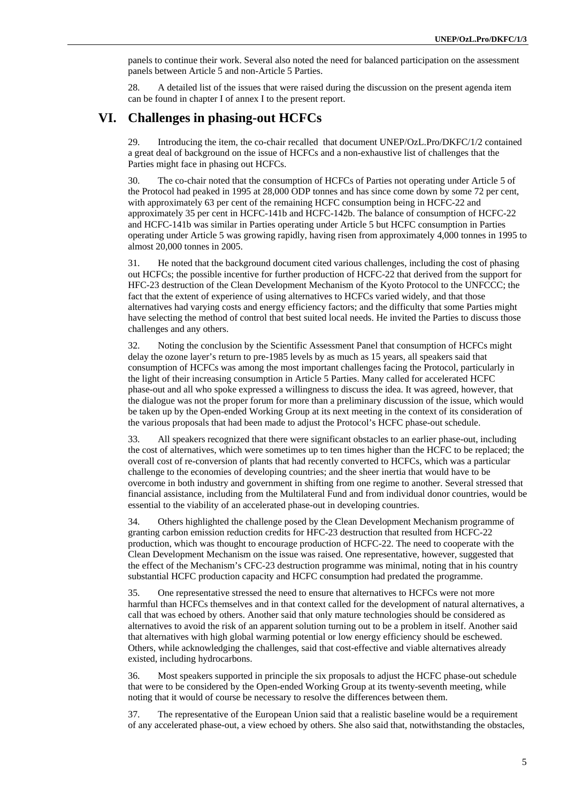panels to continue their work. Several also noted the need for balanced participation on the assessment panels between Article 5 and non-Article 5 Parties.

28. A detailed list of the issues that were raised during the discussion on the present agenda item can be found in chapter I of annex I to the present report.

#### **VI. Challenges in phasing-out HCFCs**

29. Introducing the item, the co-chair recalled that document UNEP/OzL.Pro/DKFC/1/2 contained a great deal of background on the issue of HCFCs and a non-exhaustive list of challenges that the Parties might face in phasing out HCFCs.

30. The co-chair noted that the consumption of HCFCs of Parties not operating under Article 5 of the Protocol had peaked in 1995 at 28,000 ODP tonnes and has since come down by some 72 per cent, with approximately 63 per cent of the remaining HCFC consumption being in HCFC-22 and approximately 35 per cent in HCFC-141b and HCFC-142b. The balance of consumption of HCFC-22 and HCFC-141b was similar in Parties operating under Article 5 but HCFC consumption in Parties operating under Article 5 was growing rapidly, having risen from approximately 4,000 tonnes in 1995 to almost 20,000 tonnes in 2005.

31. He noted that the background document cited various challenges, including the cost of phasing out HCFCs; the possible incentive for further production of HCFC-22 that derived from the support for HFC-23 destruction of the Clean Development Mechanism of the Kyoto Protocol to the UNFCCC; the fact that the extent of experience of using alternatives to HCFCs varied widely, and that those alternatives had varying costs and energy efficiency factors; and the difficulty that some Parties might have selecting the method of control that best suited local needs. He invited the Parties to discuss those challenges and any others.

32. Noting the conclusion by the Scientific Assessment Panel that consumption of HCFCs might delay the ozone layer's return to pre-1985 levels by as much as 15 years, all speakers said that consumption of HCFCs was among the most important challenges facing the Protocol, particularly in the light of their increasing consumption in Article 5 Parties. Many called for accelerated HCFC phase-out and all who spoke expressed a willingness to discuss the idea. It was agreed, however, that the dialogue was not the proper forum for more than a preliminary discussion of the issue, which would be taken up by the Open-ended Working Group at its next meeting in the context of its consideration of the various proposals that had been made to adjust the Protocol's HCFC phase-out schedule.

33. All speakers recognized that there were significant obstacles to an earlier phase-out, including the cost of alternatives, which were sometimes up to ten times higher than the HCFC to be replaced; the overall cost of re-conversion of plants that had recently converted to HCFCs, which was a particular challenge to the economies of developing countries; and the sheer inertia that would have to be overcome in both industry and government in shifting from one regime to another. Several stressed that financial assistance, including from the Multilateral Fund and from individual donor countries, would be essential to the viability of an accelerated phase-out in developing countries.

34. Others highlighted the challenge posed by the Clean Development Mechanism programme of granting carbon emission reduction credits for HFC-23 destruction that resulted from HCFC-22 production, which was thought to encourage production of HCFC-22. The need to cooperate with the Clean Development Mechanism on the issue was raised. One representative, however, suggested that the effect of the Mechanism's CFC-23 destruction programme was minimal, noting that in his country substantial HCFC production capacity and HCFC consumption had predated the programme.

35. One representative stressed the need to ensure that alternatives to HCFCs were not more harmful than HCFCs themselves and in that context called for the development of natural alternatives, a call that was echoed by others. Another said that only mature technologies should be considered as alternatives to avoid the risk of an apparent solution turning out to be a problem in itself. Another said that alternatives with high global warming potential or low energy efficiency should be eschewed. Others, while acknowledging the challenges, said that cost-effective and viable alternatives already existed, including hydrocarbons.

36. Most speakers supported in principle the six proposals to adjust the HCFC phase-out schedule that were to be considered by the Open-ended Working Group at its twenty-seventh meeting, while noting that it would of course be necessary to resolve the differences between them.

37. The representative of the European Union said that a realistic baseline would be a requirement of any accelerated phase-out, a view echoed by others. She also said that, notwithstanding the obstacles,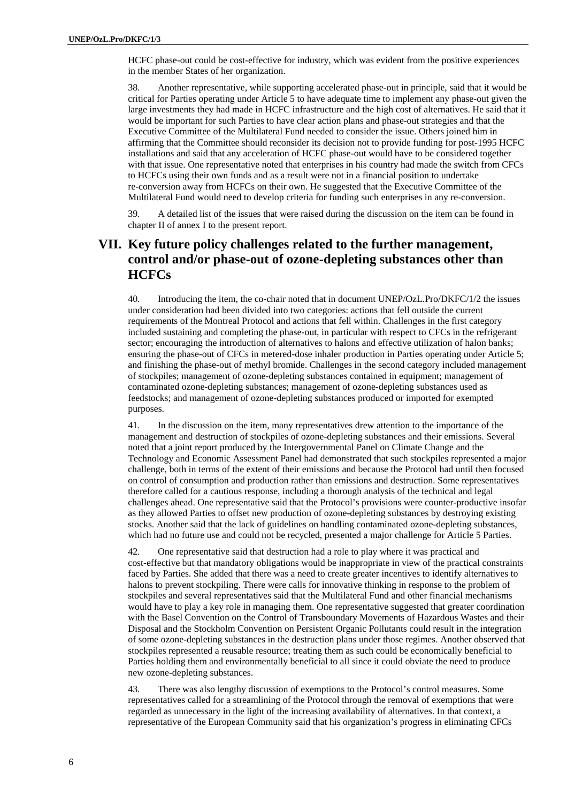HCFC phase-out could be cost-effective for industry, which was evident from the positive experiences in the member States of her organization.

38. Another representative, while supporting accelerated phase-out in principle, said that it would be critical for Parties operating under Article 5 to have adequate time to implement any phase-out given the large investments they had made in HCFC infrastructure and the high cost of alternatives. He said that it would be important for such Parties to have clear action plans and phase-out strategies and that the Executive Committee of the Multilateral Fund needed to consider the issue. Others joined him in affirming that the Committee should reconsider its decision not to provide funding for post-1995 HCFC installations and said that any acceleration of HCFC phase-out would have to be considered together with that issue. One representative noted that enterprises in his country had made the switch from CFCs to HCFCs using their own funds and as a result were not in a financial position to undertake re-conversion away from HCFCs on their own. He suggested that the Executive Committee of the Multilateral Fund would need to develop criteria for funding such enterprises in any re-conversion.

39. A detailed list of the issues that were raised during the discussion on the item can be found in chapter II of annex I to the present report.

## **VII. Key future policy challenges related to the further management, control and/or phase-out of ozone-depleting substances other than HCFCs**

40. Introducing the item, the co-chair noted that in document UNEP/OzL.Pro/DKFC/1/2 the issues under consideration had been divided into two categories: actions that fell outside the current requirements of the Montreal Protocol and actions that fell within. Challenges in the first category included sustaining and completing the phase-out, in particular with respect to CFCs in the refrigerant sector; encouraging the introduction of alternatives to halons and effective utilization of halon banks; ensuring the phase-out of CFCs in metered-dose inhaler production in Parties operating under Article 5; and finishing the phase-out of methyl bromide. Challenges in the second category included management of stockpiles; management of ozone-depleting substances contained in equipment; management of contaminated ozone-depleting substances; management of ozone-depleting substances used as feedstocks; and management of ozone-depleting substances produced or imported for exempted purposes.

41. In the discussion on the item, many representatives drew attention to the importance of the management and destruction of stockpiles of ozone-depleting substances and their emissions. Several noted that a joint report produced by the Intergovernmental Panel on Climate Change and the Technology and Economic Assessment Panel had demonstrated that such stockpiles represented a major challenge, both in terms of the extent of their emissions and because the Protocol had until then focused on control of consumption and production rather than emissions and destruction. Some representatives therefore called for a cautious response, including a thorough analysis of the technical and legal challenges ahead. One representative said that the Protocol's provisions were counter-productive insofar as they allowed Parties to offset new production of ozone-depleting substances by destroying existing stocks. Another said that the lack of guidelines on handling contaminated ozone-depleting substances, which had no future use and could not be recycled, presented a major challenge for Article 5 Parties.

42. One representative said that destruction had a role to play where it was practical and cost-effective but that mandatory obligations would be inappropriate in view of the practical constraints faced by Parties. She added that there was a need to create greater incentives to identify alternatives to halons to prevent stockpiling. There were calls for innovative thinking in response to the problem of stockpiles and several representatives said that the Multilateral Fund and other financial mechanisms would have to play a key role in managing them. One representative suggested that greater coordination with the Basel Convention on the Control of Transboundary Movements of Hazardous Wastes and their Disposal and the Stockholm Convention on Persistent Organic Pollutants could result in the integration of some ozone-depleting substances in the destruction plans under those regimes. Another observed that stockpiles represented a reusable resource; treating them as such could be economically beneficial to Parties holding them and environmentally beneficial to all since it could obviate the need to produce new ozone-depleting substances.

43. There was also lengthy discussion of exemptions to the Protocol's control measures. Some representatives called for a streamlining of the Protocol through the removal of exemptions that were regarded as unnecessary in the light of the increasing availability of alternatives. In that context, a representative of the European Community said that his organization's progress in eliminating CFCs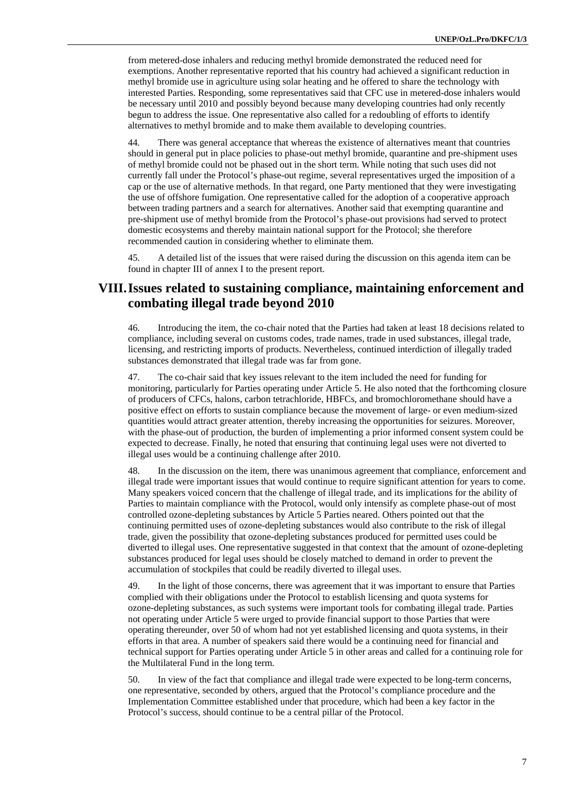from metered-dose inhalers and reducing methyl bromide demonstrated the reduced need for exemptions. Another representative reported that his country had achieved a significant reduction in methyl bromide use in agriculture using solar heating and he offered to share the technology with interested Parties. Responding, some representatives said that CFC use in metered-dose inhalers would be necessary until 2010 and possibly beyond because many developing countries had only recently begun to address the issue. One representative also called for a redoubling of efforts to identify alternatives to methyl bromide and to make them available to developing countries.

44. There was general acceptance that whereas the existence of alternatives meant that countries should in general put in place policies to phase-out methyl bromide, quarantine and pre-shipment uses of methyl bromide could not be phased out in the short term. While noting that such uses did not currently fall under the Protocol's phase-out regime, several representatives urged the imposition of a cap or the use of alternative methods. In that regard, one Party mentioned that they were investigating the use of offshore fumigation. One representative called for the adoption of a cooperative approach between trading partners and a search for alternatives. Another said that exempting quarantine and pre-shipment use of methyl bromide from the Protocol's phase-out provisions had served to protect domestic ecosystems and thereby maintain national support for the Protocol; she therefore recommended caution in considering whether to eliminate them.

45. A detailed list of the issues that were raised during the discussion on this agenda item can be found in chapter III of annex I to the present report.

### **VIII. Issues related to sustaining compliance, maintaining enforcement and combating illegal trade beyond 2010**

46. Introducing the item, the co-chair noted that the Parties had taken at least 18 decisions related to compliance, including several on customs codes, trade names, trade in used substances, illegal trade, licensing, and restricting imports of products. Nevertheless, continued interdiction of illegally traded substances demonstrated that illegal trade was far from gone.

47. The co-chair said that key issues relevant to the item included the need for funding for monitoring, particularly for Parties operating under Article 5. He also noted that the forthcoming closure of producers of CFCs, halons, carbon tetrachloride, HBFCs, and bromochloromethane should have a positive effect on efforts to sustain compliance because the movement of large- or even medium-sized quantities would attract greater attention, thereby increasing the opportunities for seizures. Moreover, with the phase-out of production, the burden of implementing a prior informed consent system could be expected to decrease. Finally, he noted that ensuring that continuing legal uses were not diverted to illegal uses would be a continuing challenge after 2010.

48. In the discussion on the item, there was unanimous agreement that compliance, enforcement and illegal trade were important issues that would continue to require significant attention for years to come. Many speakers voiced concern that the challenge of illegal trade, and its implications for the ability of Parties to maintain compliance with the Protocol, would only intensify as complete phase-out of most controlled ozone-depleting substances by Article 5 Parties neared. Others pointed out that the continuing permitted uses of ozone-depleting substances would also contribute to the risk of illegal trade, given the possibility that ozone-depleting substances produced for permitted uses could be diverted to illegal uses. One representative suggested in that context that the amount of ozone-depleting substances produced for legal uses should be closely matched to demand in order to prevent the accumulation of stockpiles that could be readily diverted to illegal uses.

49. In the light of those concerns, there was agreement that it was important to ensure that Parties complied with their obligations under the Protocol to establish licensing and quota systems for ozone-depleting substances, as such systems were important tools for combating illegal trade. Parties not operating under Article 5 were urged to provide financial support to those Parties that were operating thereunder, over 50 of whom had not yet established licensing and quota systems, in their efforts in that area. A number of speakers said there would be a continuing need for financial and technical support for Parties operating under Article 5 in other areas and called for a continuing role for the Multilateral Fund in the long term.

50. In view of the fact that compliance and illegal trade were expected to be long-term concerns, one representative, seconded by others, argued that the Protocol's compliance procedure and the Implementation Committee established under that procedure, which had been a key factor in the Protocol's success, should continue to be a central pillar of the Protocol.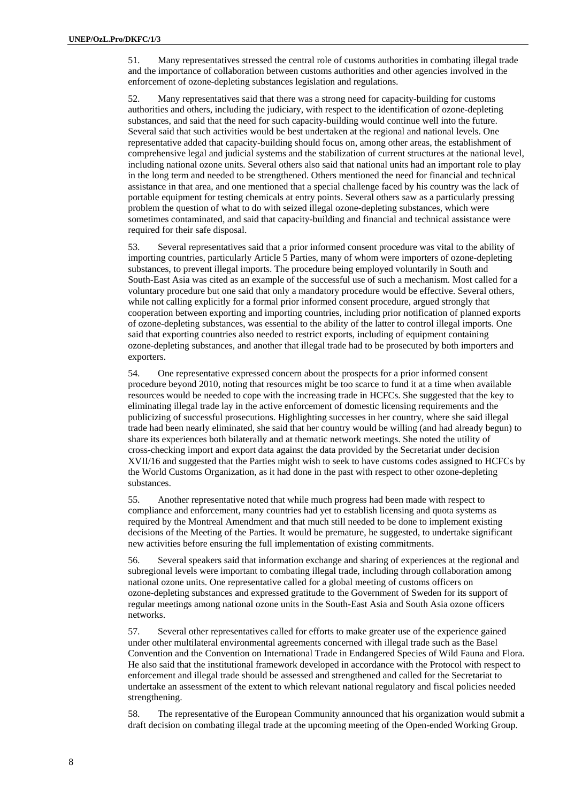51. Many representatives stressed the central role of customs authorities in combating illegal trade and the importance of collaboration between customs authorities and other agencies involved in the enforcement of ozone-depleting substances legislation and regulations.

52. Many representatives said that there was a strong need for capacity-building for customs authorities and others, including the judiciary, with respect to the identification of ozone-depleting substances, and said that the need for such capacity-building would continue well into the future. Several said that such activities would be best undertaken at the regional and national levels. One representative added that capacity-building should focus on, among other areas, the establishment of comprehensive legal and judicial systems and the stabilization of current structures at the national level, including national ozone units. Several others also said that national units had an important role to play in the long term and needed to be strengthened. Others mentioned the need for financial and technical assistance in that area, and one mentioned that a special challenge faced by his country was the lack of portable equipment for testing chemicals at entry points. Several others saw as a particularly pressing problem the question of what to do with seized illegal ozone-depleting substances, which were sometimes contaminated, and said that capacity-building and financial and technical assistance were required for their safe disposal.

53. Several representatives said that a prior informed consent procedure was vital to the ability of importing countries, particularly Article 5 Parties, many of whom were importers of ozone-depleting substances, to prevent illegal imports. The procedure being employed voluntarily in South and South-East Asia was cited as an example of the successful use of such a mechanism. Most called for a voluntary procedure but one said that only a mandatory procedure would be effective. Several others, while not calling explicitly for a formal prior informed consent procedure, argued strongly that cooperation between exporting and importing countries, including prior notification of planned exports of ozone-depleting substances, was essential to the ability of the latter to control illegal imports. One said that exporting countries also needed to restrict exports, including of equipment containing ozone-depleting substances, and another that illegal trade had to be prosecuted by both importers and exporters.

54. One representative expressed concern about the prospects for a prior informed consent procedure beyond 2010, noting that resources might be too scarce to fund it at a time when available resources would be needed to cope with the increasing trade in HCFCs. She suggested that the key to eliminating illegal trade lay in the active enforcement of domestic licensing requirements and the publicizing of successful prosecutions. Highlighting successes in her country, where she said illegal trade had been nearly eliminated, she said that her country would be willing (and had already begun) to share its experiences both bilaterally and at thematic network meetings. She noted the utility of cross-checking import and export data against the data provided by the Secretariat under decision XVII/16 and suggested that the Parties might wish to seek to have customs codes assigned to HCFCs by the World Customs Organization, as it had done in the past with respect to other ozone-depleting substances.

55. Another representative noted that while much progress had been made with respect to compliance and enforcement, many countries had yet to establish licensing and quota systems as required by the Montreal Amendment and that much still needed to be done to implement existing decisions of the Meeting of the Parties. It would be premature, he suggested, to undertake significant new activities before ensuring the full implementation of existing commitments.

56. Several speakers said that information exchange and sharing of experiences at the regional and subregional levels were important to combating illegal trade, including through collaboration among national ozone units. One representative called for a global meeting of customs officers on ozone-depleting substances and expressed gratitude to the Government of Sweden for its support of regular meetings among national ozone units in the South-East Asia and South Asia ozone officers networks.

57. Several other representatives called for efforts to make greater use of the experience gained under other multilateral environmental agreements concerned with illegal trade such as the Basel Convention and the Convention on International Trade in Endangered Species of Wild Fauna and Flora. He also said that the institutional framework developed in accordance with the Protocol with respect to enforcement and illegal trade should be assessed and strengthened and called for the Secretariat to undertake an assessment of the extent to which relevant national regulatory and fiscal policies needed strengthening.

58. The representative of the European Community announced that his organization would submit a draft decision on combating illegal trade at the upcoming meeting of the Open-ended Working Group.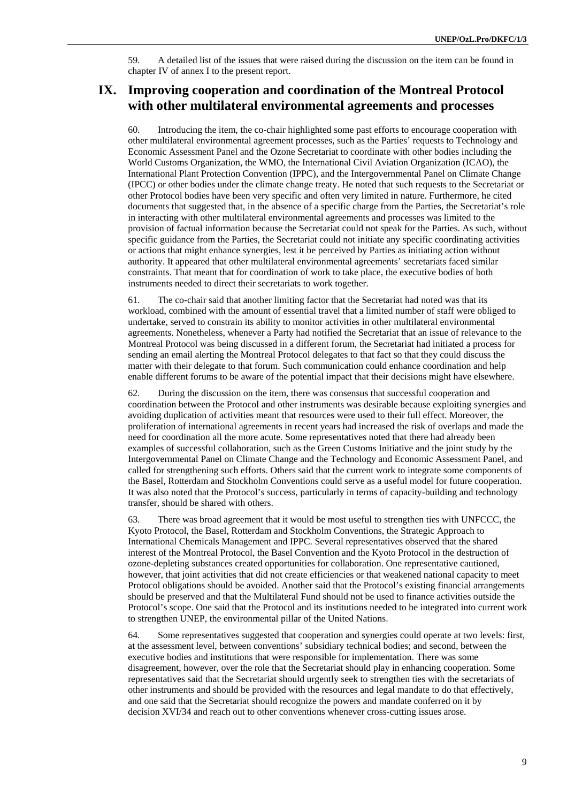59. A detailed list of the issues that were raised during the discussion on the item can be found in chapter IV of annex I to the present report.

# **IX. Improving cooperation and coordination of the Montreal Protocol with other multilateral environmental agreements and processes**

60. Introducing the item, the co-chair highlighted some past efforts to encourage cooperation with other multilateral environmental agreement processes, such as the Parties' requests to Technology and Economic Assessment Panel and the Ozone Secretariat to coordinate with other bodies including the World Customs Organization, the WMO, the International Civil Aviation Organization (ICAO), the International Plant Protection Convention (IPPC), and the Intergovernmental Panel on Climate Change (IPCC) or other bodies under the climate change treaty. He noted that such requests to the Secretariat or other Protocol bodies have been very specific and often very limited in nature. Furthermore, he cited documents that suggested that, in the absence of a specific charge from the Parties, the Secretariat's role in interacting with other multilateral environmental agreements and processes was limited to the provision of factual information because the Secretariat could not speak for the Parties. As such, without specific guidance from the Parties, the Secretariat could not initiate any specific coordinating activities or actions that might enhance synergies, lest it be perceived by Parties as initiating action without authority. It appeared that other multilateral environmental agreements' secretariats faced similar constraints. That meant that for coordination of work to take place, the executive bodies of both instruments needed to direct their secretariats to work together.

61. The co-chair said that another limiting factor that the Secretariat had noted was that its workload, combined with the amount of essential travel that a limited number of staff were obliged to undertake, served to constrain its ability to monitor activities in other multilateral environmental agreements. Nonetheless, whenever a Party had notified the Secretariat that an issue of relevance to the Montreal Protocol was being discussed in a different forum, the Secretariat had initiated a process for sending an email alerting the Montreal Protocol delegates to that fact so that they could discuss the matter with their delegate to that forum. Such communication could enhance coordination and help enable different forums to be aware of the potential impact that their decisions might have elsewhere.

62. During the discussion on the item, there was consensus that successful cooperation and coordination between the Protocol and other instruments was desirable because exploiting synergies and avoiding duplication of activities meant that resources were used to their full effect. Moreover, the proliferation of international agreements in recent years had increased the risk of overlaps and made the need for coordination all the more acute. Some representatives noted that there had already been examples of successful collaboration, such as the Green Customs Initiative and the joint study by the Intergovernmental Panel on Climate Change and the Technology and Economic Assessment Panel, and called for strengthening such efforts. Others said that the current work to integrate some components of the Basel, Rotterdam and Stockholm Conventions could serve as a useful model for future cooperation. It was also noted that the Protocol's success, particularly in terms of capacity-building and technology transfer, should be shared with others.

63. There was broad agreement that it would be most useful to strengthen ties with UNFCCC, the Kyoto Protocol, the Basel, Rotterdam and Stockholm Conventions, the Strategic Approach to International Chemicals Management and IPPC. Several representatives observed that the shared interest of the Montreal Protocol, the Basel Convention and the Kyoto Protocol in the destruction of ozone-depleting substances created opportunities for collaboration. One representative cautioned, however, that joint activities that did not create efficiencies or that weakened national capacity to meet Protocol obligations should be avoided. Another said that the Protocol's existing financial arrangements should be preserved and that the Multilateral Fund should not be used to finance activities outside the Protocol's scope. One said that the Protocol and its institutions needed to be integrated into current work to strengthen UNEP, the environmental pillar of the United Nations.

64. Some representatives suggested that cooperation and synergies could operate at two levels: first, at the assessment level, between conventions' subsidiary technical bodies; and second, between the executive bodies and institutions that were responsible for implementation. There was some disagreement, however, over the role that the Secretariat should play in enhancing cooperation. Some representatives said that the Secretariat should urgently seek to strengthen ties with the secretariats of other instruments and should be provided with the resources and legal mandate to do that effectively, and one said that the Secretariat should recognize the powers and mandate conferred on it by decision XVI/34 and reach out to other conventions whenever cross-cutting issues arose.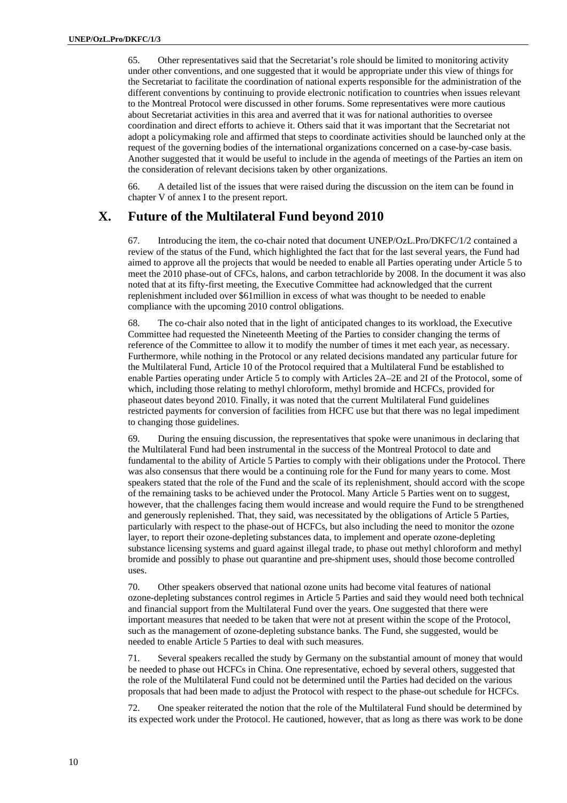65. Other representatives said that the Secretariat's role should be limited to monitoring activity under other conventions, and one suggested that it would be appropriate under this view of things for the Secretariat to facilitate the coordination of national experts responsible for the administration of the different conventions by continuing to provide electronic notification to countries when issues relevant to the Montreal Protocol were discussed in other forums. Some representatives were more cautious about Secretariat activities in this area and averred that it was for national authorities to oversee coordination and direct efforts to achieve it. Others said that it was important that the Secretariat not adopt a policymaking role and affirmed that steps to coordinate activities should be launched only at the request of the governing bodies of the international organizations concerned on a case-by-case basis. Another suggested that it would be useful to include in the agenda of meetings of the Parties an item on the consideration of relevant decisions taken by other organizations.

66. A detailed list of the issues that were raised during the discussion on the item can be found in chapter V of annex I to the present report.

### **X. Future of the Multilateral Fund beyond 2010**

67. Introducing the item, the co-chair noted that document UNEP/OzL.Pro/DKFC/1/2 contained a review of the status of the Fund, which highlighted the fact that for the last several years, the Fund had aimed to approve all the projects that would be needed to enable all Parties operating under Article 5 to meet the 2010 phase-out of CFCs, halons, and carbon tetrachloride by 2008. In the document it was also noted that at its fifty-first meeting, the Executive Committee had acknowledged that the current replenishment included over \$61million in excess of what was thought to be needed to enable compliance with the upcoming 2010 control obligations.

68. The co-chair also noted that in the light of anticipated changes to its workload, the Executive Committee had requested the Nineteenth Meeting of the Parties to consider changing the terms of reference of the Committee to allow it to modify the number of times it met each year, as necessary. Furthermore, while nothing in the Protocol or any related decisions mandated any particular future for the Multilateral Fund, Article 10 of the Protocol required that a Multilateral Fund be established to enable Parties operating under Article 5 to comply with Articles 2A–2E and 2I of the Protocol, some of which, including those relating to methyl chloroform, methyl bromide and HCFCs, provided for phaseout dates beyond 2010. Finally, it was noted that the current Multilateral Fund guidelines restricted payments for conversion of facilities from HCFC use but that there was no legal impediment to changing those guidelines.

69. During the ensuing discussion, the representatives that spoke were unanimous in declaring that the Multilateral Fund had been instrumental in the success of the Montreal Protocol to date and fundamental to the ability of Article 5 Parties to comply with their obligations under the Protocol. There was also consensus that there would be a continuing role for the Fund for many years to come. Most speakers stated that the role of the Fund and the scale of its replenishment, should accord with the scope of the remaining tasks to be achieved under the Protocol. Many Article 5 Parties went on to suggest, however, that the challenges facing them would increase and would require the Fund to be strengthened and generously replenished. That, they said, was necessitated by the obligations of Article 5 Parties, particularly with respect to the phase-out of HCFCs, but also including the need to monitor the ozone layer, to report their ozone-depleting substances data, to implement and operate ozone-depleting substance licensing systems and guard against illegal trade, to phase out methyl chloroform and methyl bromide and possibly to phase out quarantine and pre-shipment uses, should those become controlled uses.

70. Other speakers observed that national ozone units had become vital features of national ozone-depleting substances control regimes in Article 5 Parties and said they would need both technical and financial support from the Multilateral Fund over the years. One suggested that there were important measures that needed to be taken that were not at present within the scope of the Protocol, such as the management of ozone-depleting substance banks. The Fund, she suggested, would be needed to enable Article 5 Parties to deal with such measures.

71. Several speakers recalled the study by Germany on the substantial amount of money that would be needed to phase out HCFCs in China. One representative, echoed by several others, suggested that the role of the Multilateral Fund could not be determined until the Parties had decided on the various proposals that had been made to adjust the Protocol with respect to the phase-out schedule for HCFCs.

72. One speaker reiterated the notion that the role of the Multilateral Fund should be determined by its expected work under the Protocol. He cautioned, however, that as long as there was work to be done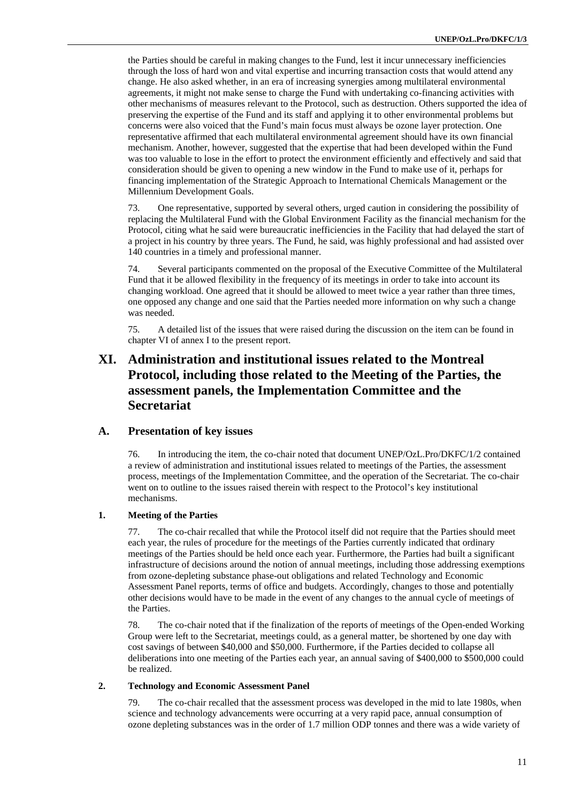the Parties should be careful in making changes to the Fund, lest it incur unnecessary inefficiencies through the loss of hard won and vital expertise and incurring transaction costs that would attend any change. He also asked whether, in an era of increasing synergies among multilateral environmental agreements, it might not make sense to charge the Fund with undertaking co-financing activities with other mechanisms of measures relevant to the Protocol, such as destruction. Others supported the idea of preserving the expertise of the Fund and its staff and applying it to other environmental problems but concerns were also voiced that the Fund's main focus must always be ozone layer protection. One representative affirmed that each multilateral environmental agreement should have its own financial mechanism. Another, however, suggested that the expertise that had been developed within the Fund was too valuable to lose in the effort to protect the environment efficiently and effectively and said that consideration should be given to opening a new window in the Fund to make use of it, perhaps for financing implementation of the Strategic Approach to International Chemicals Management or the Millennium Development Goals.

73. One representative, supported by several others, urged caution in considering the possibility of replacing the Multilateral Fund with the Global Environment Facility as the financial mechanism for the Protocol, citing what he said were bureaucratic inefficiencies in the Facility that had delayed the start of a project in his country by three years. The Fund, he said, was highly professional and had assisted over 140 countries in a timely and professional manner.

74. Several participants commented on the proposal of the Executive Committee of the Multilateral Fund that it be allowed flexibility in the frequency of its meetings in order to take into account its changing workload. One agreed that it should be allowed to meet twice a year rather than three times, one opposed any change and one said that the Parties needed more information on why such a change was needed.

75. A detailed list of the issues that were raised during the discussion on the item can be found in chapter VI of annex I to the present report.

# **XI. Administration and institutional issues related to the Montreal Protocol, including those related to the Meeting of the Parties, the assessment panels, the Implementation Committee and the Secretariat**

#### **A. Presentation of key issues**

76. In introducing the item, the co-chair noted that document UNEP/OzL.Pro/DKFC/1/2 contained a review of administration and institutional issues related to meetings of the Parties, the assessment process, meetings of the Implementation Committee, and the operation of the Secretariat. The co-chair went on to outline to the issues raised therein with respect to the Protocol's key institutional mechanisms.

#### **1. Meeting of the Parties**

77. The co-chair recalled that while the Protocol itself did not require that the Parties should meet each year, the rules of procedure for the meetings of the Parties currently indicated that ordinary meetings of the Parties should be held once each year. Furthermore, the Parties had built a significant infrastructure of decisions around the notion of annual meetings, including those addressing exemptions from ozone-depleting substance phase-out obligations and related Technology and Economic Assessment Panel reports, terms of office and budgets. Accordingly, changes to those and potentially other decisions would have to be made in the event of any changes to the annual cycle of meetings of the Parties.

78. The co-chair noted that if the finalization of the reports of meetings of the Open-ended Working Group were left to the Secretariat, meetings could, as a general matter, be shortened by one day with cost savings of between \$40,000 and \$50,000. Furthermore, if the Parties decided to collapse all deliberations into one meeting of the Parties each year, an annual saving of \$400,000 to \$500,000 could be realized.

#### **2. Technology and Economic Assessment Panel**

79. The co-chair recalled that the assessment process was developed in the mid to late 1980s, when science and technology advancements were occurring at a very rapid pace, annual consumption of ozone depleting substances was in the order of 1.7 million ODP tonnes and there was a wide variety of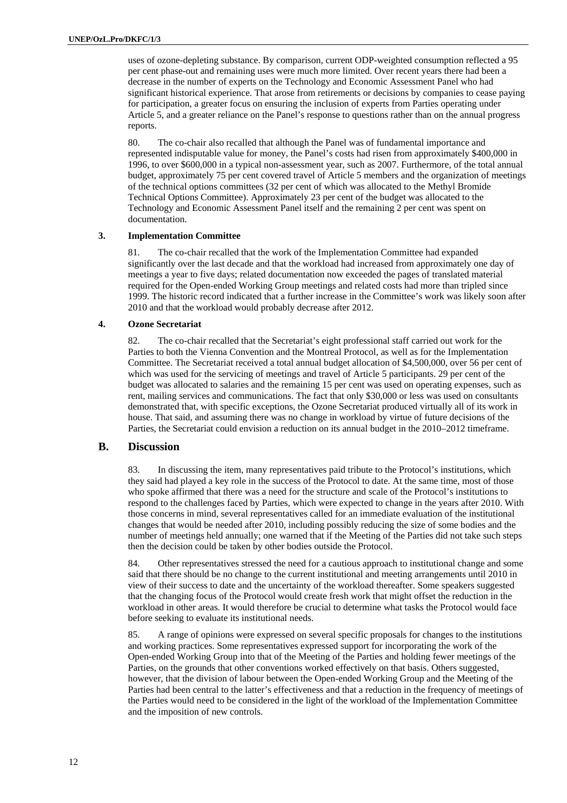uses of ozone-depleting substance. By comparison, current ODP-weighted consumption reflected a 95 per cent phase-out and remaining uses were much more limited. Over recent years there had been a decrease in the number of experts on the Technology and Economic Assessment Panel who had significant historical experience. That arose from retirements or decisions by companies to cease paying for participation, a greater focus on ensuring the inclusion of experts from Parties operating under Article 5, and a greater reliance on the Panel's response to questions rather than on the annual progress reports.

80. The co-chair also recalled that although the Panel was of fundamental importance and represented indisputable value for money, the Panel's costs had risen from approximately \$400,000 in 1996, to over \$600,000 in a typical non-assessment year, such as 2007. Furthermore, of the total annual budget, approximately 75 per cent covered travel of Article 5 members and the organization of meetings of the technical options committees (32 per cent of which was allocated to the Methyl Bromide Technical Options Committee). Approximately 23 per cent of the budget was allocated to the Technology and Economic Assessment Panel itself and the remaining 2 per cent was spent on documentation.

#### **3. Implementation Committee**

81. The co-chair recalled that the work of the Implementation Committee had expanded significantly over the last decade and that the workload had increased from approximately one day of meetings a year to five days; related documentation now exceeded the pages of translated material required for the Open-ended Working Group meetings and related costs had more than tripled since 1999. The historic record indicated that a further increase in the Committee's work was likely soon after 2010 and that the workload would probably decrease after 2012.

#### **4. Ozone Secretariat**

82. The co-chair recalled that the Secretariat's eight professional staff carried out work for the Parties to both the Vienna Convention and the Montreal Protocol, as well as for the Implementation Committee. The Secretariat received a total annual budget allocation of \$4,500,000, over 56 per cent of which was used for the servicing of meetings and travel of Article 5 participants. 29 per cent of the budget was allocated to salaries and the remaining 15 per cent was used on operating expenses, such as rent, mailing services and communications. The fact that only \$30,000 or less was used on consultants demonstrated that, with specific exceptions, the Ozone Secretariat produced virtually all of its work in house. That said, and assuming there was no change in workload by virtue of future decisions of the Parties, the Secretariat could envision a reduction on its annual budget in the 2010–2012 timeframe.

#### **B. Discussion**

83. In discussing the item, many representatives paid tribute to the Protocol's institutions, which they said had played a key role in the success of the Protocol to date. At the same time, most of those who spoke affirmed that there was a need for the structure and scale of the Protocol's institutions to respond to the challenges faced by Parties, which were expected to change in the years after 2010. With those concerns in mind, several representatives called for an immediate evaluation of the institutional changes that would be needed after 2010, including possibly reducing the size of some bodies and the number of meetings held annually; one warned that if the Meeting of the Parties did not take such steps then the decision could be taken by other bodies outside the Protocol.

84. Other representatives stressed the need for a cautious approach to institutional change and some said that there should be no change to the current institutional and meeting arrangements until 2010 in view of their success to date and the uncertainty of the workload thereafter. Some speakers suggested that the changing focus of the Protocol would create fresh work that might offset the reduction in the workload in other areas. It would therefore be crucial to determine what tasks the Protocol would face before seeking to evaluate its institutional needs.

85. A range of opinions were expressed on several specific proposals for changes to the institutions and working practices. Some representatives expressed support for incorporating the work of the Open-ended Working Group into that of the Meeting of the Parties and holding fewer meetings of the Parties, on the grounds that other conventions worked effectively on that basis. Others suggested, however, that the division of labour between the Open-ended Working Group and the Meeting of the Parties had been central to the latter's effectiveness and that a reduction in the frequency of meetings of the Parties would need to be considered in the light of the workload of the Implementation Committee and the imposition of new controls.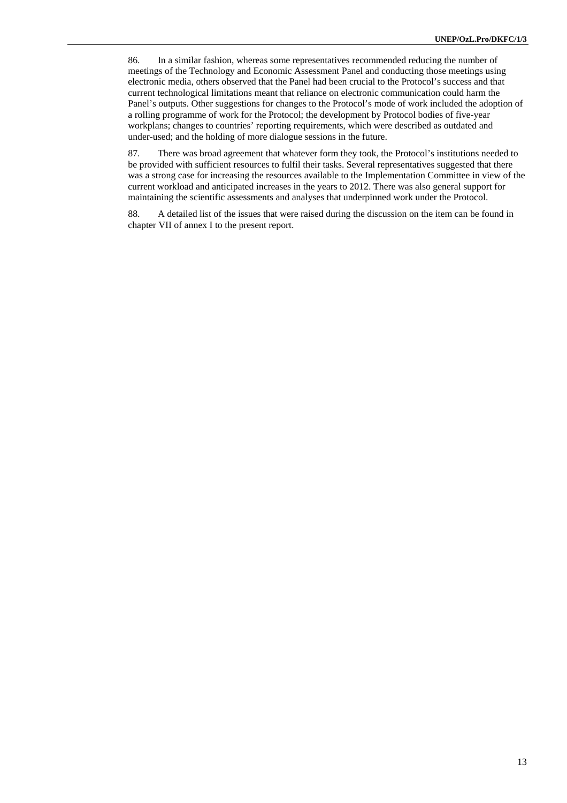86. In a similar fashion, whereas some representatives recommended reducing the number of meetings of the Technology and Economic Assessment Panel and conducting those meetings using electronic media, others observed that the Panel had been crucial to the Protocol's success and that current technological limitations meant that reliance on electronic communication could harm the Panel's outputs. Other suggestions for changes to the Protocol's mode of work included the adoption of a rolling programme of work for the Protocol; the development by Protocol bodies of five-year workplans; changes to countries' reporting requirements, which were described as outdated and under-used; and the holding of more dialogue sessions in the future.

87. There was broad agreement that whatever form they took, the Protocol's institutions needed to be provided with sufficient resources to fulfil their tasks. Several representatives suggested that there was a strong case for increasing the resources available to the Implementation Committee in view of the current workload and anticipated increases in the years to 2012. There was also general support for maintaining the scientific assessments and analyses that underpinned work under the Protocol.

88. A detailed list of the issues that were raised during the discussion on the item can be found in chapter VII of annex I to the present report.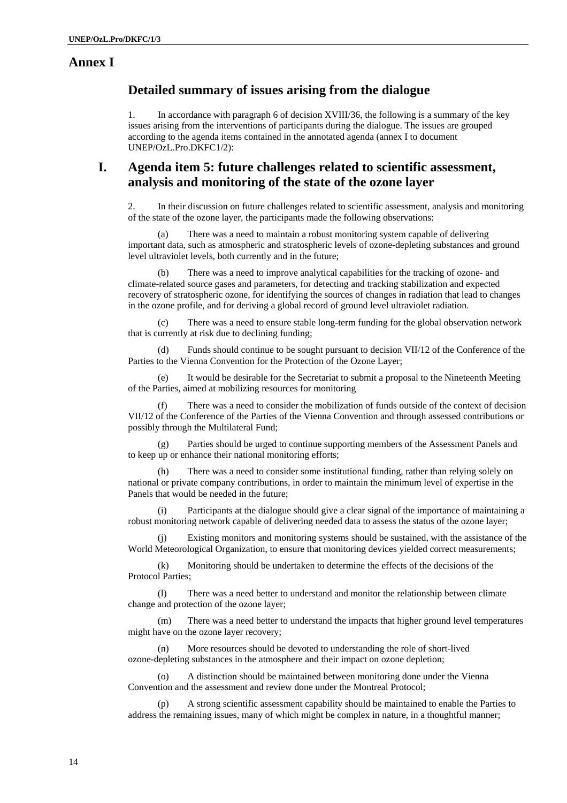### **Annex I**

### **Detailed summary of issues arising from the dialogue**

1. In accordance with paragraph 6 of decision XVIII/36, the following is a summary of the key issues arising from the interventions of participants during the dialogue. The issues are grouped according to the agenda items contained in the annotated agenda (annex I to document UNEP/OzL.Pro.DKFC1/2):

## **I. Agenda item 5: future challenges related to scientific assessment, analysis and monitoring of the state of the ozone layer**

2. In their discussion on future challenges related to scientific assessment, analysis and monitoring of the state of the ozone layer, the participants made the following observations:

(a) There was a need to maintain a robust monitoring system capable of delivering important data, such as atmospheric and stratospheric levels of ozone-depleting substances and ground level ultraviolet levels, both currently and in the future;

There was a need to improve analytical capabilities for the tracking of ozone- and climate-related source gases and parameters, for detecting and tracking stabilization and expected recovery of stratospheric ozone, for identifying the sources of changes in radiation that lead to changes in the ozone profile, and for deriving a global record of ground level ultraviolet radiation.

(c) There was a need to ensure stable long-term funding for the global observation network that is currently at risk due to declining funding;

(d) Funds should continue to be sought pursuant to decision VII/12 of the Conference of the Parties to the Vienna Convention for the Protection of the Ozone Layer;

(e) It would be desirable for the Secretariat to submit a proposal to the Nineteenth Meeting of the Parties, aimed at mobilizing resources for monitoring

(f) There was a need to consider the mobilization of funds outside of the context of decision VII/12 of the Conference of the Parties of the Vienna Convention and through assessed contributions or possibly through the Multilateral Fund;

(g) Parties should be urged to continue supporting members of the Assessment Panels and to keep up or enhance their national monitoring efforts;

(h) There was a need to consider some institutional funding, rather than relying solely on national or private company contributions, in order to maintain the minimum level of expertise in the Panels that would be needed in the future;

(i) Participants at the dialogue should give a clear signal of the importance of maintaining a robust monitoring network capable of delivering needed data to assess the status of the ozone layer;

(j) Existing monitors and monitoring systems should be sustained, with the assistance of the World Meteorological Organization, to ensure that monitoring devices yielded correct measurements;

(k) Monitoring should be undertaken to determine the effects of the decisions of the Protocol Parties;

(l) There was a need better to understand and monitor the relationship between climate change and protection of the ozone layer;

(m) There was a need better to understand the impacts that higher ground level temperatures might have on the ozone layer recovery;

(n) More resources should be devoted to understanding the role of short-lived ozone-depleting substances in the atmosphere and their impact on ozone depletion;

(o) A distinction should be maintained between monitoring done under the Vienna Convention and the assessment and review done under the Montreal Protocol;

(p) A strong scientific assessment capability should be maintained to enable the Parties to address the remaining issues, many of which might be complex in nature, in a thoughtful manner;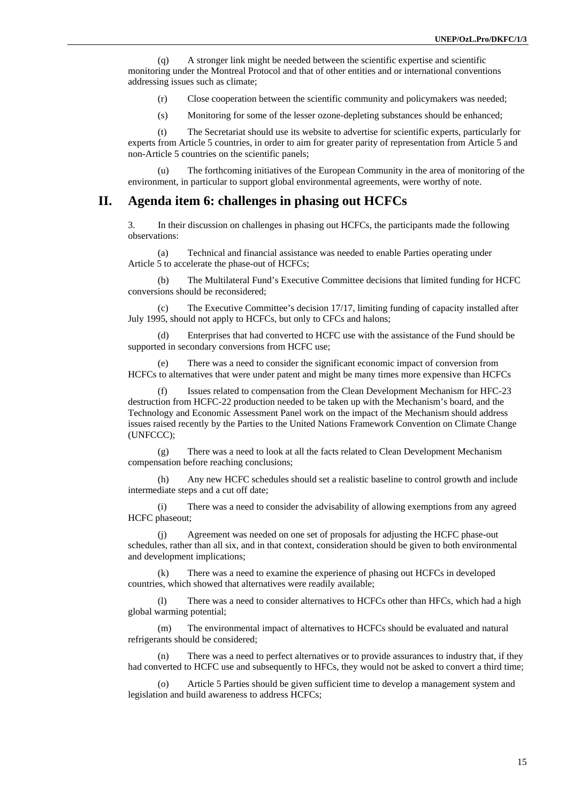(q) A stronger link might be needed between the scientific expertise and scientific monitoring under the Montreal Protocol and that of other entities and or international conventions addressing issues such as climate;

(r) Close cooperation between the scientific community and policymakers was needed;

(s) Monitoring for some of the lesser ozone-depleting substances should be enhanced;

(t) The Secretariat should use its website to advertise for scientific experts, particularly for experts from Article 5 countries, in order to aim for greater parity of representation from Article 5 and non-Article 5 countries on the scientific panels;

The forthcoming initiatives of the European Community in the area of monitoring of the environment, in particular to support global environmental agreements, were worthy of note.

#### **II. Agenda item 6: challenges in phasing out HCFCs**

3. In their discussion on challenges in phasing out HCFCs, the participants made the following observations:

(a) Technical and financial assistance was needed to enable Parties operating under Article 5 to accelerate the phase-out of HCFCs;

(b) The Multilateral Fund's Executive Committee decisions that limited funding for HCFC conversions should be reconsidered;

(c) The Executive Committee's decision 17/17, limiting funding of capacity installed after July 1995, should not apply to HCFCs, but only to CFCs and halons;

(d) Enterprises that had converted to HCFC use with the assistance of the Fund should be supported in secondary conversions from HCFC use;

(e) There was a need to consider the significant economic impact of conversion from HCFCs to alternatives that were under patent and might be many times more expensive than HCFCs

(f) Issues related to compensation from the Clean Development Mechanism for HFC-23 destruction from HCFC-22 production needed to be taken up with the Mechanism's board, and the Technology and Economic Assessment Panel work on the impact of the Mechanism should address issues raised recently by the Parties to the United Nations Framework Convention on Climate Change (UNFCCC);

(g) There was a need to look at all the facts related to Clean Development Mechanism compensation before reaching conclusions;

(h) Any new HCFC schedules should set a realistic baseline to control growth and include intermediate steps and a cut off date;

(i) There was a need to consider the advisability of allowing exemptions from any agreed HCFC phaseout;

Agreement was needed on one set of proposals for adjusting the HCFC phase-out schedules, rather than all six, and in that context, consideration should be given to both environmental and development implications;

(k) There was a need to examine the experience of phasing out HCFCs in developed countries, which showed that alternatives were readily available;

(l) There was a need to consider alternatives to HCFCs other than HFCs, which had a high global warming potential;

(m) The environmental impact of alternatives to HCFCs should be evaluated and natural refrigerants should be considered;

(n) There was a need to perfect alternatives or to provide assurances to industry that, if they had converted to HCFC use and subsequently to HFCs, they would not be asked to convert a third time;

(o) Article 5 Parties should be given sufficient time to develop a management system and legislation and build awareness to address HCFCs;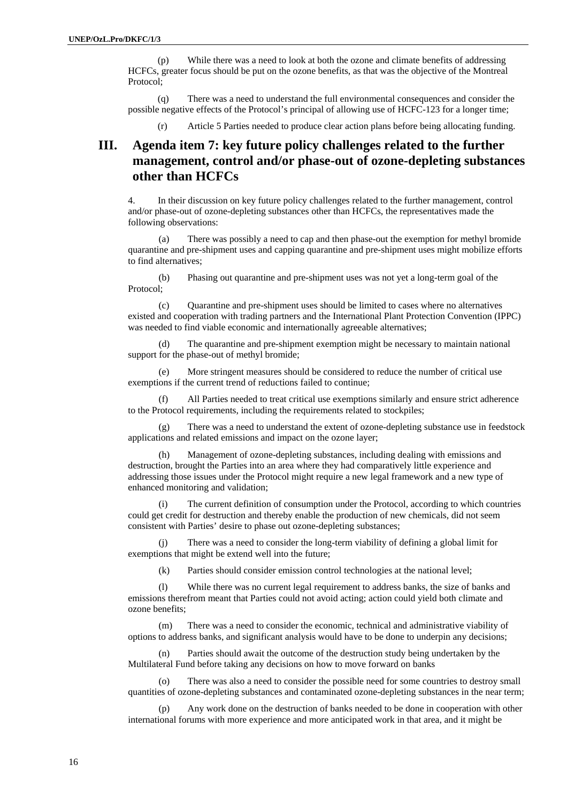(p) While there was a need to look at both the ozone and climate benefits of addressing HCFCs, greater focus should be put on the ozone benefits, as that was the objective of the Montreal Protocol;

(q) There was a need to understand the full environmental consequences and consider the possible negative effects of the Protocol's principal of allowing use of HCFC-123 for a longer time;

(r) Article 5 Parties needed to produce clear action plans before being allocating funding.

## **III. Agenda item 7: key future policy challenges related to the further management, control and/or phase-out of ozone-depleting substances other than HCFCs**

4. In their discussion on key future policy challenges related to the further management, control and/or phase-out of ozone-depleting substances other than HCFCs, the representatives made the following observations:

(a) There was possibly a need to cap and then phase-out the exemption for methyl bromide quarantine and pre-shipment uses and capping quarantine and pre-shipment uses might mobilize efforts to find alternatives;

(b) Phasing out quarantine and pre-shipment uses was not yet a long-term goal of the Protocol;

(c) Quarantine and pre-shipment uses should be limited to cases where no alternatives existed and cooperation with trading partners and the International Plant Protection Convention (IPPC) was needed to find viable economic and internationally agreeable alternatives;

(d) The quarantine and pre-shipment exemption might be necessary to maintain national support for the phase-out of methyl bromide;

(e) More stringent measures should be considered to reduce the number of critical use exemptions if the current trend of reductions failed to continue;

(f) All Parties needed to treat critical use exemptions similarly and ensure strict adherence to the Protocol requirements, including the requirements related to stockpiles;

(g) There was a need to understand the extent of ozone-depleting substance use in feedstock applications and related emissions and impact on the ozone layer;

(h) Management of ozone-depleting substances, including dealing with emissions and destruction, brought the Parties into an area where they had comparatively little experience and addressing those issues under the Protocol might require a new legal framework and a new type of enhanced monitoring and validation;

(i) The current definition of consumption under the Protocol, according to which countries could get credit for destruction and thereby enable the production of new chemicals, did not seem consistent with Parties' desire to phase out ozone-depleting substances;

(j) There was a need to consider the long-term viability of defining a global limit for exemptions that might be extend well into the future;

(k) Parties should consider emission control technologies at the national level;

(l) While there was no current legal requirement to address banks, the size of banks and emissions therefrom meant that Parties could not avoid acting; action could yield both climate and ozone benefits;

(m) There was a need to consider the economic, technical and administrative viability of options to address banks, and significant analysis would have to be done to underpin any decisions;

(n) Parties should await the outcome of the destruction study being undertaken by the Multilateral Fund before taking any decisions on how to move forward on banks

(o) There was also a need to consider the possible need for some countries to destroy small quantities of ozone-depleting substances and contaminated ozone-depleting substances in the near term;

(p) Any work done on the destruction of banks needed to be done in cooperation with other international forums with more experience and more anticipated work in that area, and it might be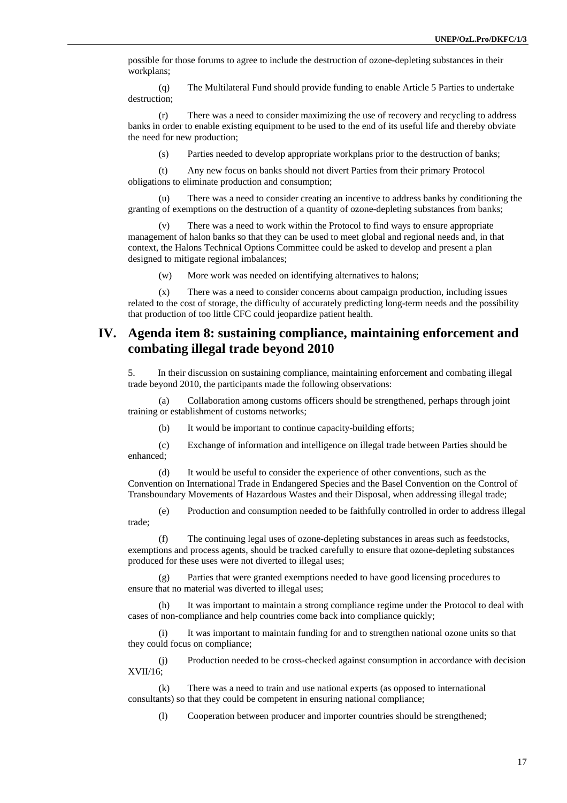possible for those forums to agree to include the destruction of ozone-depleting substances in their workplans;

(q) The Multilateral Fund should provide funding to enable Article 5 Parties to undertake destruction;

(r) There was a need to consider maximizing the use of recovery and recycling to address banks in order to enable existing equipment to be used to the end of its useful life and thereby obviate the need for new production;

(s) Parties needed to develop appropriate workplans prior to the destruction of banks;

(t) Any new focus on banks should not divert Parties from their primary Protocol obligations to eliminate production and consumption;

(u) There was a need to consider creating an incentive to address banks by conditioning the granting of exemptions on the destruction of a quantity of ozone-depleting substances from banks;

(v) There was a need to work within the Protocol to find ways to ensure appropriate management of halon banks so that they can be used to meet global and regional needs and, in that context, the Halons Technical Options Committee could be asked to develop and present a plan designed to mitigate regional imbalances;

(w) More work was needed on identifying alternatives to halons;

(x) There was a need to consider concerns about campaign production, including issues related to the cost of storage, the difficulty of accurately predicting long-term needs and the possibility that production of too little CFC could jeopardize patient health.

## **IV. Agenda item 8: sustaining compliance, maintaining enforcement and combating illegal trade beyond 2010**

5. In their discussion on sustaining compliance, maintaining enforcement and combating illegal trade beyond 2010, the participants made the following observations:

(a) Collaboration among customs officers should be strengthened, perhaps through joint training or establishment of customs networks;

(b) It would be important to continue capacity-building efforts;

(c) Exchange of information and intelligence on illegal trade between Parties should be enhanced;

(d) It would be useful to consider the experience of other conventions, such as the Convention on International Trade in Endangered Species and the Basel Convention on the Control of Transboundary Movements of Hazardous Wastes and their Disposal, when addressing illegal trade;

(e) Production and consumption needed to be faithfully controlled in order to address illegal trade;

(f) The continuing legal uses of ozone-depleting substances in areas such as feedstocks, exemptions and process agents, should be tracked carefully to ensure that ozone-depleting substances produced for these uses were not diverted to illegal uses;

(g) Parties that were granted exemptions needed to have good licensing procedures to ensure that no material was diverted to illegal uses;

(h) It was important to maintain a strong compliance regime under the Protocol to deal with cases of non-compliance and help countries come back into compliance quickly;

(i) It was important to maintain funding for and to strengthen national ozone units so that they could focus on compliance;

(j) Production needed to be cross-checked against consumption in accordance with decision XVII/16;

(k) There was a need to train and use national experts (as opposed to international consultants) so that they could be competent in ensuring national compliance;

(l) Cooperation between producer and importer countries should be strengthened;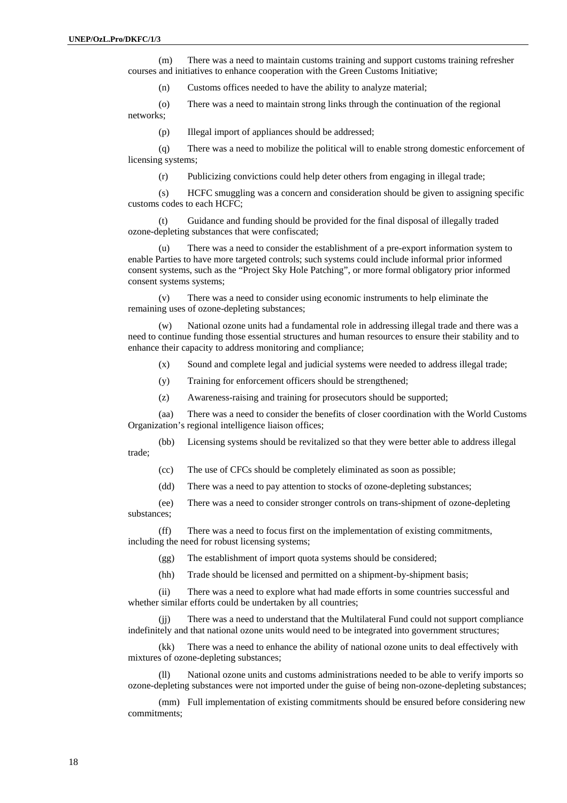(m) There was a need to maintain customs training and support customs training refresher courses and initiatives to enhance cooperation with the Green Customs Initiative;

(n) Customs offices needed to have the ability to analyze material;

(o) There was a need to maintain strong links through the continuation of the regional networks;

(p) Illegal import of appliances should be addressed;

(q) There was a need to mobilize the political will to enable strong domestic enforcement of licensing systems;

(r) Publicizing convictions could help deter others from engaging in illegal trade;

(s) HCFC smuggling was a concern and consideration should be given to assigning specific customs codes to each HCFC;

(t) Guidance and funding should be provided for the final disposal of illegally traded ozone-depleting substances that were confiscated;

(u) There was a need to consider the establishment of a pre-export information system to enable Parties to have more targeted controls; such systems could include informal prior informed consent systems, such as the "Project Sky Hole Patching", or more formal obligatory prior informed consent systems systems;

(v) There was a need to consider using economic instruments to help eliminate the remaining uses of ozone-depleting substances;

(w) National ozone units had a fundamental role in addressing illegal trade and there was a need to continue funding those essential structures and human resources to ensure their stability and to enhance their capacity to address monitoring and compliance;

(x) Sound and complete legal and judicial systems were needed to address illegal trade;

- (y) Training for enforcement officers should be strengthened;
- (z) Awareness-raising and training for prosecutors should be supported;

(aa) There was a need to consider the benefits of closer coordination with the World Customs Organization's regional intelligence liaison offices;

(bb) Licensing systems should be revitalized so that they were better able to address illegal trade;

(cc) The use of CFCs should be completely eliminated as soon as possible;

(dd) There was a need to pay attention to stocks of ozone-depleting substances;

(ee) There was a need to consider stronger controls on trans-shipment of ozone-depleting substances;

(ff) There was a need to focus first on the implementation of existing commitments, including the need for robust licensing systems;

(gg) The establishment of import quota systems should be considered;

(hh) Trade should be licensed and permitted on a shipment-by-shipment basis;

(ii) There was a need to explore what had made efforts in some countries successful and whether similar efforts could be undertaken by all countries;

(jj) There was a need to understand that the Multilateral Fund could not support compliance indefinitely and that national ozone units would need to be integrated into government structures;

(kk) There was a need to enhance the ability of national ozone units to deal effectively with mixtures of ozone-depleting substances;

(ll) National ozone units and customs administrations needed to be able to verify imports so ozone-depleting substances were not imported under the guise of being non-ozone-depleting substances;

(mm) Full implementation of existing commitments should be ensured before considering new commitments;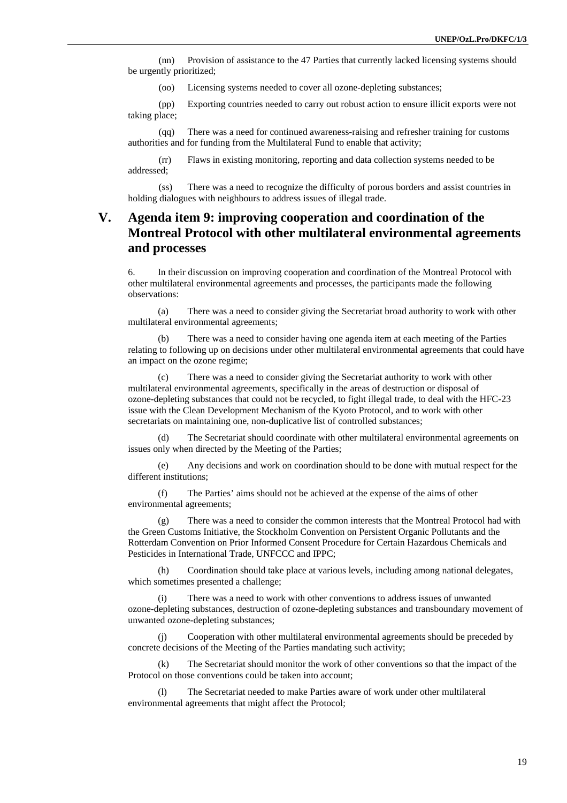(nn) Provision of assistance to the 47 Parties that currently lacked licensing systems should be urgently prioritized;

(oo) Licensing systems needed to cover all ozone-depleting substances;

(pp) Exporting countries needed to carry out robust action to ensure illicit exports were not taking place;

(qq) There was a need for continued awareness-raising and refresher training for customs authorities and for funding from the Multilateral Fund to enable that activity;

(rr) Flaws in existing monitoring, reporting and data collection systems needed to be addressed;

(ss) There was a need to recognize the difficulty of porous borders and assist countries in holding dialogues with neighbours to address issues of illegal trade.

## **V. Agenda item 9: improving cooperation and coordination of the Montreal Protocol with other multilateral environmental agreements and processes**

6. In their discussion on improving cooperation and coordination of the Montreal Protocol with other multilateral environmental agreements and processes, the participants made the following observations:

(a) There was a need to consider giving the Secretariat broad authority to work with other multilateral environmental agreements;

(b) There was a need to consider having one agenda item at each meeting of the Parties relating to following up on decisions under other multilateral environmental agreements that could have an impact on the ozone regime;

(c) There was a need to consider giving the Secretariat authority to work with other multilateral environmental agreements, specifically in the areas of destruction or disposal of ozone-depleting substances that could not be recycled, to fight illegal trade, to deal with the HFC-23 issue with the Clean Development Mechanism of the Kyoto Protocol, and to work with other secretariats on maintaining one, non-duplicative list of controlled substances;

(d) The Secretariat should coordinate with other multilateral environmental agreements on issues only when directed by the Meeting of the Parties;

(e) Any decisions and work on coordination should to be done with mutual respect for the different institutions;

(f) The Parties' aims should not be achieved at the expense of the aims of other environmental agreements;

(g) There was a need to consider the common interests that the Montreal Protocol had with the Green Customs Initiative, the Stockholm Convention on Persistent Organic Pollutants and the Rotterdam Convention on Prior Informed Consent Procedure for Certain Hazardous Chemicals and Pesticides in International Trade, UNFCCC and IPPC;

(h) Coordination should take place at various levels, including among national delegates, which sometimes presented a challenge;

(i) There was a need to work with other conventions to address issues of unwanted ozone-depleting substances, destruction of ozone-depleting substances and transboundary movement of unwanted ozone-depleting substances;

(j) Cooperation with other multilateral environmental agreements should be preceded by concrete decisions of the Meeting of the Parties mandating such activity;

(k) The Secretariat should monitor the work of other conventions so that the impact of the Protocol on those conventions could be taken into account;

(l) The Secretariat needed to make Parties aware of work under other multilateral environmental agreements that might affect the Protocol;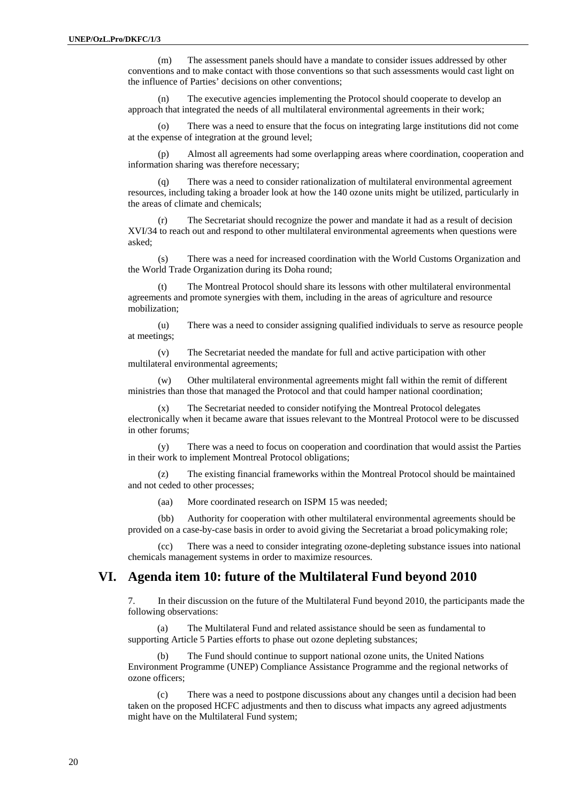(m) The assessment panels should have a mandate to consider issues addressed by other conventions and to make contact with those conventions so that such assessments would cast light on the influence of Parties' decisions on other conventions;

(n) The executive agencies implementing the Protocol should cooperate to develop an approach that integrated the needs of all multilateral environmental agreements in their work;

(o) There was a need to ensure that the focus on integrating large institutions did not come at the expense of integration at the ground level;

(p) Almost all agreements had some overlapping areas where coordination, cooperation and information sharing was therefore necessary;

(q) There was a need to consider rationalization of multilateral environmental agreement resources, including taking a broader look at how the 140 ozone units might be utilized, particularly in the areas of climate and chemicals;

(r) The Secretariat should recognize the power and mandate it had as a result of decision XVI/34 to reach out and respond to other multilateral environmental agreements when questions were asked;

(s) There was a need for increased coordination with the World Customs Organization and the World Trade Organization during its Doha round;

(t) The Montreal Protocol should share its lessons with other multilateral environmental agreements and promote synergies with them, including in the areas of agriculture and resource mobilization;

(u) There was a need to consider assigning qualified individuals to serve as resource people at meetings;

(v) The Secretariat needed the mandate for full and active participation with other multilateral environmental agreements;

(w) Other multilateral environmental agreements might fall within the remit of different ministries than those that managed the Protocol and that could hamper national coordination;

(x) The Secretariat needed to consider notifying the Montreal Protocol delegates electronically when it became aware that issues relevant to the Montreal Protocol were to be discussed in other forums;

(y) There was a need to focus on cooperation and coordination that would assist the Parties in their work to implement Montreal Protocol obligations;

(z) The existing financial frameworks within the Montreal Protocol should be maintained and not ceded to other processes;

(aa) More coordinated research on ISPM 15 was needed;

(bb) Authority for cooperation with other multilateral environmental agreements should be provided on a case-by-case basis in order to avoid giving the Secretariat a broad policymaking role;

(cc) There was a need to consider integrating ozone-depleting substance issues into national chemicals management systems in order to maximize resources.

#### **VI. Agenda item 10: future of the Multilateral Fund beyond 2010**

7. In their discussion on the future of the Multilateral Fund beyond 2010, the participants made the following observations:

(a) The Multilateral Fund and related assistance should be seen as fundamental to supporting Article 5 Parties efforts to phase out ozone depleting substances;

(b) The Fund should continue to support national ozone units, the United Nations Environment Programme (UNEP) Compliance Assistance Programme and the regional networks of ozone officers;

(c) There was a need to postpone discussions about any changes until a decision had been taken on the proposed HCFC adjustments and then to discuss what impacts any agreed adjustments might have on the Multilateral Fund system;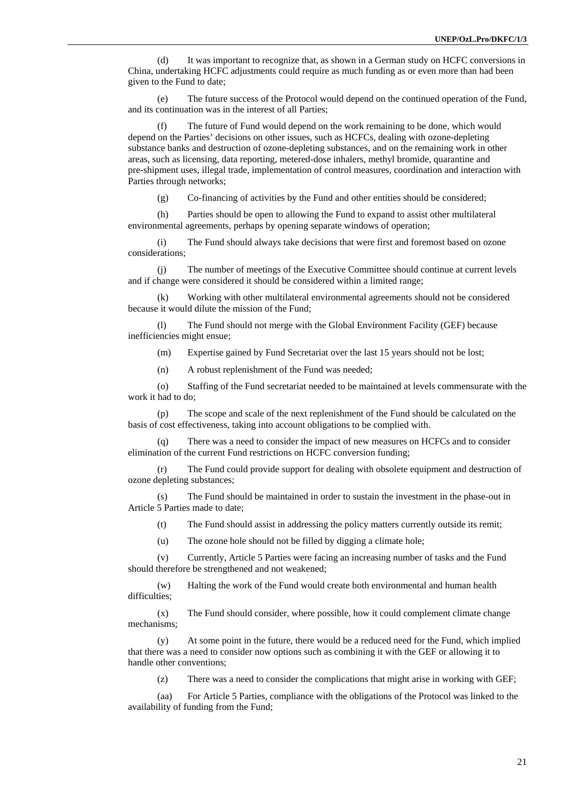(d) It was important to recognize that, as shown in a German study on HCFC conversions in China, undertaking HCFC adjustments could require as much funding as or even more than had been given to the Fund to date;

(e) The future success of the Protocol would depend on the continued operation of the Fund, and its continuation was in the interest of all Parties;

(f) The future of Fund would depend on the work remaining to be done, which would depend on the Parties' decisions on other issues, such as HCFCs, dealing with ozone-depleting substance banks and destruction of ozone-depleting substances, and on the remaining work in other areas, such as licensing, data reporting, metered-dose inhalers, methyl bromide, quarantine and pre-shipment uses, illegal trade, implementation of control measures, coordination and interaction with Parties through networks;

(g) Co-financing of activities by the Fund and other entities should be considered;

(h) Parties should be open to allowing the Fund to expand to assist other multilateral environmental agreements, perhaps by opening separate windows of operation;

(i) The Fund should always take decisions that were first and foremost based on ozone considerations;

(j) The number of meetings of the Executive Committee should continue at current levels and if change were considered it should be considered within a limited range;

(k) Working with other multilateral environmental agreements should not be considered because it would dilute the mission of the Fund;

(l) The Fund should not merge with the Global Environment Facility (GEF) because inefficiencies might ensue;

(m) Expertise gained by Fund Secretariat over the last 15 years should not be lost;

(n) A robust replenishment of the Fund was needed;

(o) Staffing of the Fund secretariat needed to be maintained at levels commensurate with the work it had to do;

(p) The scope and scale of the next replenishment of the Fund should be calculated on the basis of cost effectiveness, taking into account obligations to be complied with.

(q) There was a need to consider the impact of new measures on HCFCs and to consider elimination of the current Fund restrictions on HCFC conversion funding;

(r) The Fund could provide support for dealing with obsolete equipment and destruction of ozone depleting substances;

(s) The Fund should be maintained in order to sustain the investment in the phase-out in Article 5 Parties made to date;

(t) The Fund should assist in addressing the policy matters currently outside its remit;

(u) The ozone hole should not be filled by digging a climate hole;

(v) Currently, Article 5 Parties were facing an increasing number of tasks and the Fund should therefore be strengthened and not weakened;

(w) Halting the work of the Fund would create both environmental and human health difficulties:

(x) The Fund should consider, where possible, how it could complement climate change mechanisms;

(y) At some point in the future, there would be a reduced need for the Fund, which implied that there was a need to consider now options such as combining it with the GEF or allowing it to handle other conventions;

(z) There was a need to consider the complications that might arise in working with GEF;

(aa) For Article 5 Parties, compliance with the obligations of the Protocol was linked to the availability of funding from the Fund;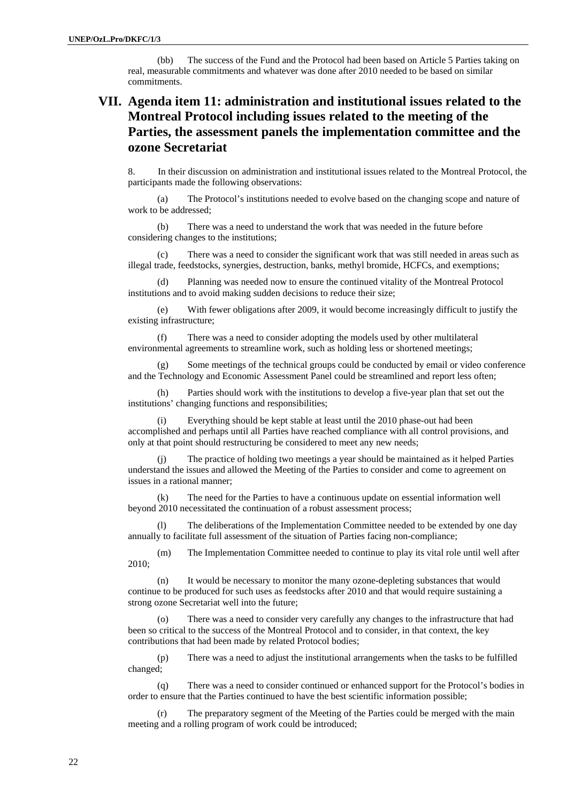(bb) The success of the Fund and the Protocol had been based on Article 5 Parties taking on real, measurable commitments and whatever was done after 2010 needed to be based on similar commitments.

# **VII. Agenda item 11: administration and institutional issues related to the Montreal Protocol including issues related to the meeting of the Parties, the assessment panels the implementation committee and the ozone Secretariat**

8. In their discussion on administration and institutional issues related to the Montreal Protocol, the participants made the following observations:

(a) The Protocol's institutions needed to evolve based on the changing scope and nature of work to be addressed;

(b) There was a need to understand the work that was needed in the future before considering changes to the institutions;

(c) There was a need to consider the significant work that was still needed in areas such as illegal trade, feedstocks, synergies, destruction, banks, methyl bromide, HCFCs, and exemptions;

(d) Planning was needed now to ensure the continued vitality of the Montreal Protocol institutions and to avoid making sudden decisions to reduce their size;

(e) With fewer obligations after 2009, it would become increasingly difficult to justify the existing infrastructure;

(f) There was a need to consider adopting the models used by other multilateral environmental agreements to streamline work, such as holding less or shortened meetings;

(g) Some meetings of the technical groups could be conducted by email or video conference and the Technology and Economic Assessment Panel could be streamlined and report less often;

(h) Parties should work with the institutions to develop a five-year plan that set out the institutions' changing functions and responsibilities;

(i) Everything should be kept stable at least until the 2010 phase-out had been accomplished and perhaps until all Parties have reached compliance with all control provisions, and only at that point should restructuring be considered to meet any new needs;

The practice of holding two meetings a year should be maintained as it helped Parties understand the issues and allowed the Meeting of the Parties to consider and come to agreement on issues in a rational manner;

The need for the Parties to have a continuous update on essential information well beyond 2010 necessitated the continuation of a robust assessment process;

(l) The deliberations of the Implementation Committee needed to be extended by one day annually to facilitate full assessment of the situation of Parties facing non-compliance;

(m) The Implementation Committee needed to continue to play its vital role until well after 2010;

(n) It would be necessary to monitor the many ozone-depleting substances that would continue to be produced for such uses as feedstocks after 2010 and that would require sustaining a strong ozone Secretariat well into the future;

(o) There was a need to consider very carefully any changes to the infrastructure that had been so critical to the success of the Montreal Protocol and to consider, in that context, the key contributions that had been made by related Protocol bodies;

(p) There was a need to adjust the institutional arrangements when the tasks to be fulfilled changed;

(q) There was a need to consider continued or enhanced support for the Protocol's bodies in order to ensure that the Parties continued to have the best scientific information possible;

(r) The preparatory segment of the Meeting of the Parties could be merged with the main meeting and a rolling program of work could be introduced;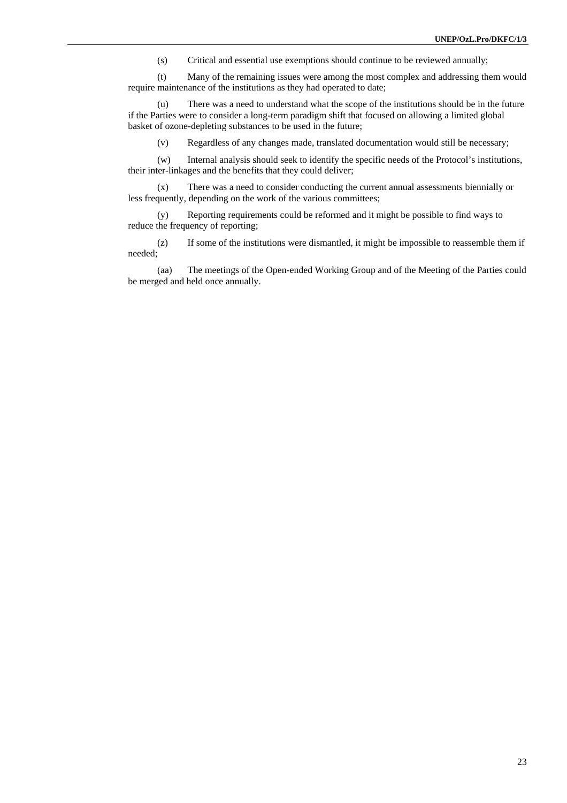(s) Critical and essential use exemptions should continue to be reviewed annually;

(t) Many of the remaining issues were among the most complex and addressing them would require maintenance of the institutions as they had operated to date;

(u) There was a need to understand what the scope of the institutions should be in the future if the Parties were to consider a long-term paradigm shift that focused on allowing a limited global basket of ozone-depleting substances to be used in the future;

(v) Regardless of any changes made, translated documentation would still be necessary;

(w) Internal analysis should seek to identify the specific needs of the Protocol's institutions, their inter-linkages and the benefits that they could deliver;

(x) There was a need to consider conducting the current annual assessments biennially or less frequently, depending on the work of the various committees;

(y) Reporting requirements could be reformed and it might be possible to find ways to reduce the frequency of reporting;

(z) If some of the institutions were dismantled, it might be impossible to reassemble them if needed;

(aa) The meetings of the Open-ended Working Group and of the Meeting of the Parties could be merged and held once annually.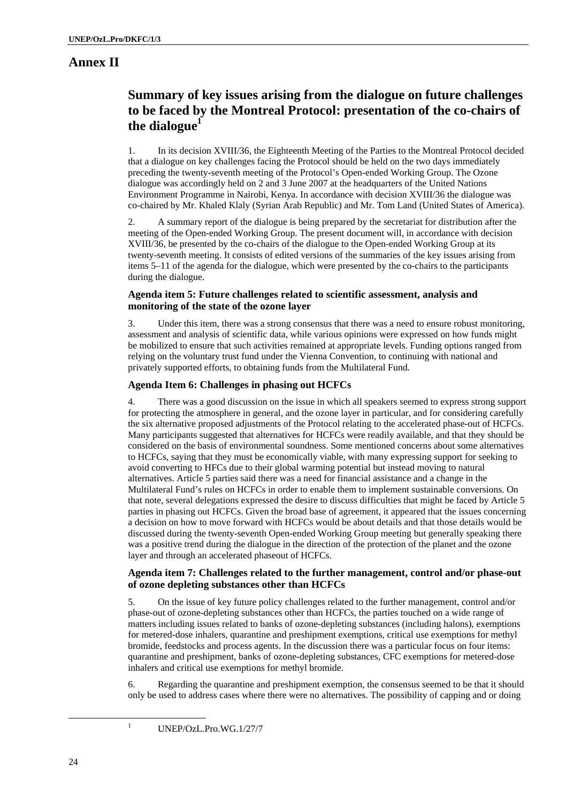# **Annex II**

# **Summary of key issues arising from the dialogue on future challenges to be faced by the Montreal Protocol: presentation of the co-chairs of the dialogue1**

1. In its decision XVIII/36, the Eighteenth Meeting of the Parties to the Montreal Protocol decided that a dialogue on key challenges facing the Protocol should be held on the two days immediately preceding the twenty-seventh meeting of the Protocol's Open-ended Working Group. The Ozone dialogue was accordingly held on 2 and 3 June 2007 at the headquarters of the United Nations Environment Programme in Nairobi, Kenya. In accordance with decision XVIII/36 the dialogue was co-chaired by Mr. Khaled Klaly (Syrian Arab Republic) and Mr. Tom Land (United States of America).

2. A summary report of the dialogue is being prepared by the secretariat for distribution after the meeting of the Open-ended Working Group. The present document will, in accordance with decision XVIII/36, be presented by the co-chairs of the dialogue to the Open-ended Working Group at its twenty-seventh meeting. It consists of edited versions of the summaries of the key issues arising from items 5–11 of the agenda for the dialogue, which were presented by the co-chairs to the participants during the dialogue.

#### **Agenda item 5: Future challenges related to scientific assessment, analysis and monitoring of the state of the ozone layer**

3. Under this item, there was a strong consensus that there was a need to ensure robust monitoring, assessment and analysis of scientific data, while various opinions were expressed on how funds might be mobilized to ensure that such activities remained at appropriate levels. Funding options ranged from relying on the voluntary trust fund under the Vienna Convention, to continuing with national and privately supported efforts, to obtaining funds from the Multilateral Fund.

#### **Agenda Item 6: Challenges in phasing out HCFCs**

4. There was a good discussion on the issue in which all speakers seemed to express strong support for protecting the atmosphere in general, and the ozone layer in particular, and for considering carefully the six alternative proposed adjustments of the Protocol relating to the accelerated phase-out of HCFCs. Many participants suggested that alternatives for HCFCs were readily available, and that they should be considered on the basis of environmental soundness. Some mentioned concerns about some alternatives to HCFCs, saying that they must be economically viable, with many expressing support for seeking to avoid converting to HFCs due to their global warming potential but instead moving to natural alternatives. Article 5 parties said there was a need for financial assistance and a change in the Multilateral Fund's rules on HCFCs in order to enable them to implement sustainable conversions. On that note, several delegations expressed the desire to discuss difficulties that might be faced by Article 5 parties in phasing out HCFCs. Given the broad base of agreement, it appeared that the issues concerning a decision on how to move forward with HCFCs would be about details and that those details would be discussed during the twenty-seventh Open-ended Working Group meeting but generally speaking there was a positive trend during the dialogue in the direction of the protection of the planet and the ozone layer and through an accelerated phaseout of HCFCs.

#### **Agenda item 7: Challenges related to the further management, control and/or phase-out of ozone depleting substances other than HCFCs**

5. On the issue of key future policy challenges related to the further management, control and/or phase-out of ozone-depleting substances other than HCFCs, the parties touched on a wide range of matters including issues related to banks of ozone-depleting substances (including halons), exemptions for metered-dose inhalers, quarantine and preshipment exemptions, critical use exemptions for methyl bromide, feedstocks and process agents. In the discussion there was a particular focus on four items: quarantine and preshipment, banks of ozone-depleting substances, CFC exemptions for metered-dose inhalers and critical use exemptions for methyl bromide.

6. Regarding the quarantine and preshipment exemption, the consensus seemed to be that it should only be used to address cases where there were no alternatives. The possibility of capping and or doing

<sup>1</sup> UNEP/OzL.Pro.WG.1/27/7

1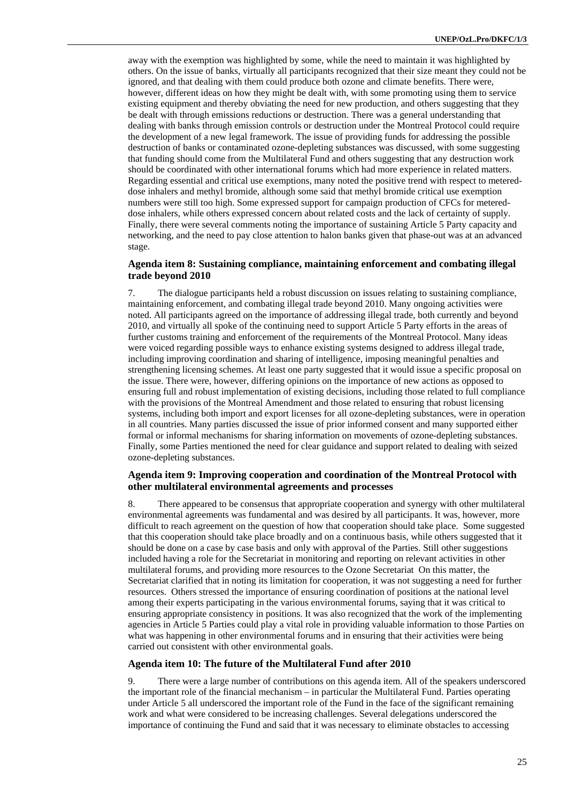away with the exemption was highlighted by some, while the need to maintain it was highlighted by others. On the issue of banks, virtually all participants recognized that their size meant they could not be ignored, and that dealing with them could produce both ozone and climate benefits. There were, however, different ideas on how they might be dealt with, with some promoting using them to service existing equipment and thereby obviating the need for new production, and others suggesting that they be dealt with through emissions reductions or destruction. There was a general understanding that dealing with banks through emission controls or destruction under the Montreal Protocol could require the development of a new legal framework. The issue of providing funds for addressing the possible destruction of banks or contaminated ozone-depleting substances was discussed, with some suggesting that funding should come from the Multilateral Fund and others suggesting that any destruction work should be coordinated with other international forums which had more experience in related matters. Regarding essential and critical use exemptions, many noted the positive trend with respect to metereddose inhalers and methyl bromide, although some said that methyl bromide critical use exemption numbers were still too high. Some expressed support for campaign production of CFCs for metereddose inhalers, while others expressed concern about related costs and the lack of certainty of supply. Finally, there were several comments noting the importance of sustaining Article 5 Party capacity and networking, and the need to pay close attention to halon banks given that phase-out was at an advanced stage.

#### **Agenda item 8: Sustaining compliance, maintaining enforcement and combating illegal trade beyond 2010**

7. The dialogue participants held a robust discussion on issues relating to sustaining compliance, maintaining enforcement, and combating illegal trade beyond 2010. Many ongoing activities were noted. All participants agreed on the importance of addressing illegal trade, both currently and beyond 2010, and virtually all spoke of the continuing need to support Article 5 Party efforts in the areas of further customs training and enforcement of the requirements of the Montreal Protocol. Many ideas were voiced regarding possible ways to enhance existing systems designed to address illegal trade, including improving coordination and sharing of intelligence, imposing meaningful penalties and strengthening licensing schemes. At least one party suggested that it would issue a specific proposal on the issue. There were, however, differing opinions on the importance of new actions as opposed to ensuring full and robust implementation of existing decisions, including those related to full compliance with the provisions of the Montreal Amendment and those related to ensuring that robust licensing systems, including both import and export licenses for all ozone-depleting substances, were in operation in all countries. Many parties discussed the issue of prior informed consent and many supported either formal or informal mechanisms for sharing information on movements of ozone-depleting substances. Finally, some Parties mentioned the need for clear guidance and support related to dealing with seized ozone-depleting substances.

#### **Agenda item 9: Improving cooperation and coordination of the Montreal Protocol with other multilateral environmental agreements and processes**

8. There appeared to be consensus that appropriate cooperation and synergy with other multilateral environmental agreements was fundamental and was desired by all participants. It was, however, more difficult to reach agreement on the question of how that cooperation should take place. Some suggested that this cooperation should take place broadly and on a continuous basis, while others suggested that it should be done on a case by case basis and only with approval of the Parties. Still other suggestions included having a role for the Secretariat in monitoring and reporting on relevant activities in other multilateral forums, and providing more resources to the Ozone Secretariat On this matter, the Secretariat clarified that in noting its limitation for cooperation, it was not suggesting a need for further resources. Others stressed the importance of ensuring coordination of positions at the national level among their experts participating in the various environmental forums, saying that it was critical to ensuring appropriate consistency in positions. It was also recognized that the work of the implementing agencies in Article 5 Parties could play a vital role in providing valuable information to those Parties on what was happening in other environmental forums and in ensuring that their activities were being carried out consistent with other environmental goals.

#### **Agenda item 10: The future of the Multilateral Fund after 2010**

9. There were a large number of contributions on this agenda item. All of the speakers underscored the important role of the financial mechanism – in particular the Multilateral Fund. Parties operating under Article 5 all underscored the important role of the Fund in the face of the significant remaining work and what were considered to be increasing challenges. Several delegations underscored the importance of continuing the Fund and said that it was necessary to eliminate obstacles to accessing